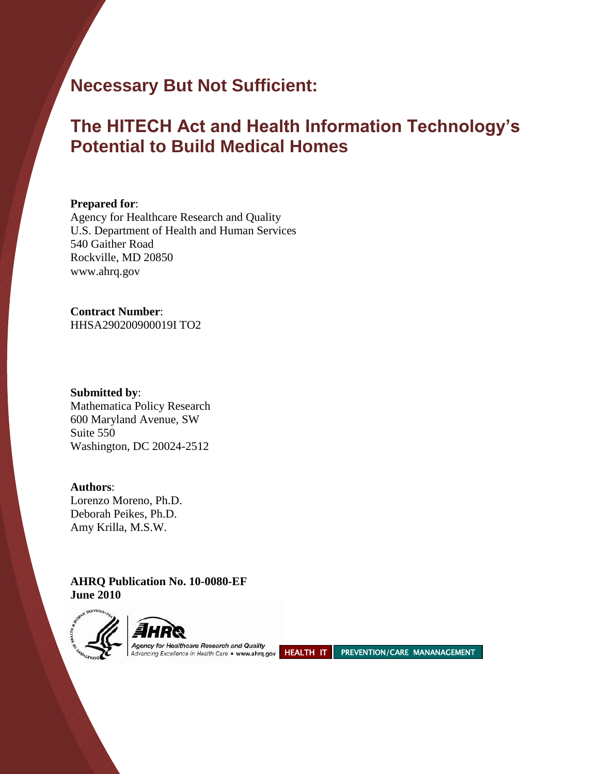# **Necessary But Not Sufficient:**

# **The HITECH Act and Health Information Technology's Potential to Build Medical Homes**

#### **Prepared for**:

Agency for Healthcare Research and Quality U.S. Department of Health and Human Services 540 Gaither Road Rockville, MD 20850 www.ahrq.gov

#### **Contract Number**: HHSA290200900019I TO2

**Submitted by**: Mathematica Policy Research 600 Maryland Avenue, SW Suite 550 Washington, DC 20024-2512

**Authors**: Lorenzo Moreno, Ph.D. Deborah Peikes, Ph.D. Amy Krilla, M.S.W.

**AHRQ Publication No. 10-0080-EF June 2010**



Agency for reanneate research and Quality<br>Advancing Excellence in Health Care • www.ahrg.gov HEALTH IT PREVENTION/CARE MANANAGEMENT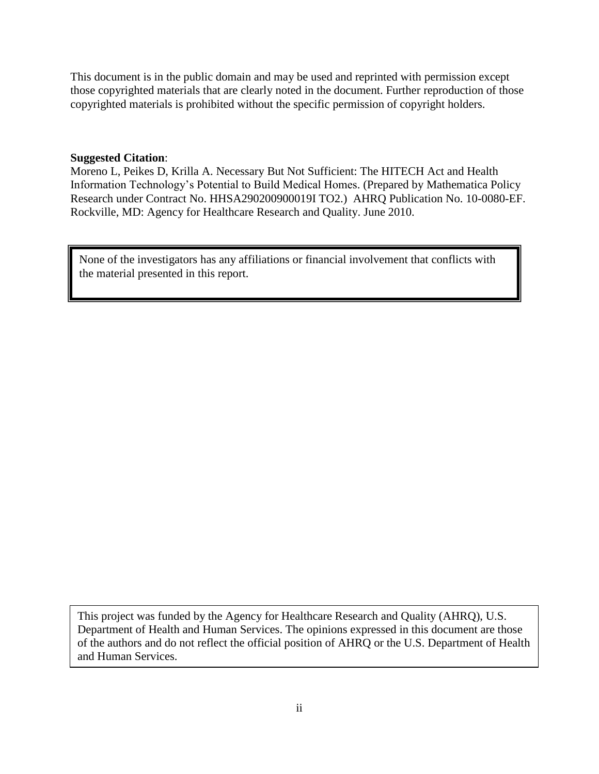This document is in the public domain and may be used and reprinted with permission except those copyrighted materials that are clearly noted in the document. Further reproduction of those copyrighted materials is prohibited without the specific permission of copyright holders.

#### **Suggested Citation**:

Moreno L, Peikes D, Krilla A. Necessary But Not Sufficient: The HITECH Act and Health Information Technology's Potential to Build Medical Homes. (Prepared by Mathematica Policy Research under Contract No. HHSA290200900019I TO2.) AHRQ Publication No. 10-0080-EF. Rockville, MD: Agency for Healthcare Research and Quality. June 2010.

None of the investigators has any affiliations or financial involvement that conflicts with the material presented in this report.

This project was funded by the Agency for Healthcare Research and Quality (AHRQ), U.S. Department of Health and Human Services. The opinions expressed in this document are those of the authors and do not reflect the official position of AHRQ or the U.S. Department of Health and Human Services.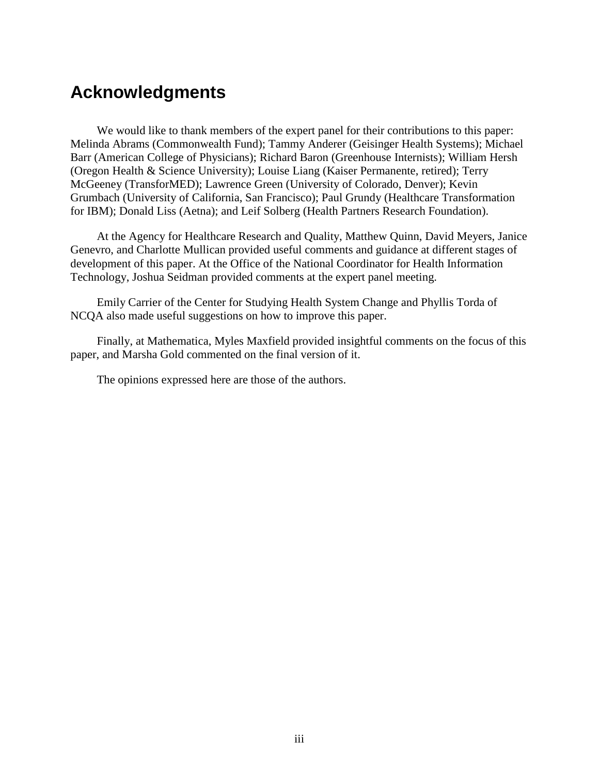# **Acknowledgments**

We would like to thank members of the expert panel for their contributions to this paper: Melinda Abrams (Commonwealth Fund); Tammy Anderer (Geisinger Health Systems); Michael Barr (American College of Physicians); Richard Baron (Greenhouse Internists); William Hersh (Oregon Health & Science University); Louise Liang (Kaiser Permanente, retired); Terry McGeeney (TransforMED); Lawrence Green (University of Colorado, Denver); Kevin Grumbach (University of California, San Francisco); Paul Grundy (Healthcare Transformation for IBM); Donald Liss (Aetna); and Leif Solberg (Health Partners Research Foundation).

At the Agency for Healthcare Research and Quality, Matthew Quinn, David Meyers, Janice Genevro, and Charlotte Mullican provided useful comments and guidance at different stages of development of this paper. At the Office of the National Coordinator for Health Information Technology, Joshua Seidman provided comments at the expert panel meeting.

Emily Carrier of the Center for Studying Health System Change and Phyllis Torda of NCQA also made useful suggestions on how to improve this paper.

Finally, at Mathematica, Myles Maxfield provided insightful comments on the focus of this paper, and Marsha Gold commented on the final version of it.

The opinions expressed here are those of the authors.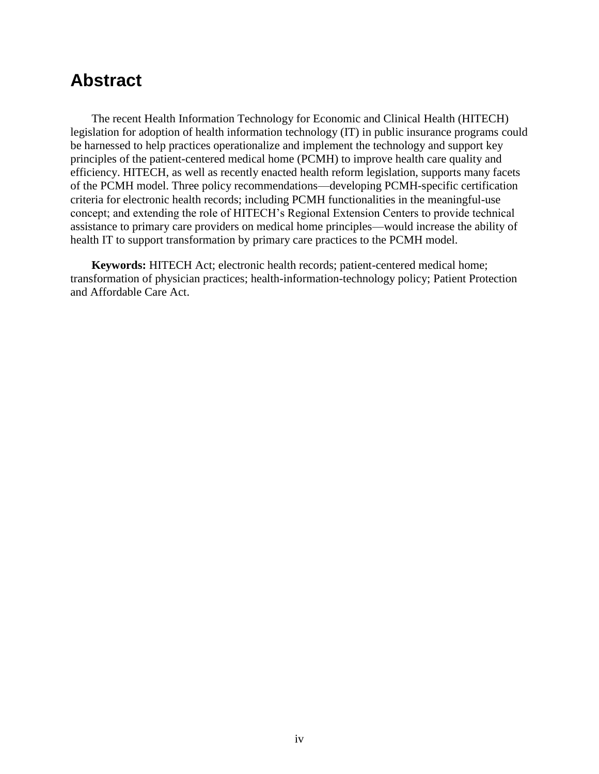# **Abstract**

The recent Health Information Technology for Economic and Clinical Health (HITECH) legislation for adoption of health information technology (IT) in public insurance programs could be harnessed to help practices operationalize and implement the technology and support key principles of the patient-centered medical home (PCMH) to improve health care quality and efficiency. HITECH, as well as recently enacted health reform legislation, supports many facets of the PCMH model. Three policy recommendations—developing PCMH-specific certification criteria for electronic health records; including PCMH functionalities in the meaningful-use concept; and extending the role of HITECH's Regional Extension Centers to provide technical assistance to primary care providers on medical home principles—would increase the ability of health IT to support transformation by primary care practices to the PCMH model.

**Keywords:** HITECH Act; electronic health records; patient-centered medical home; transformation of physician practices; health-information-technology policy; Patient Protection and Affordable Care Act.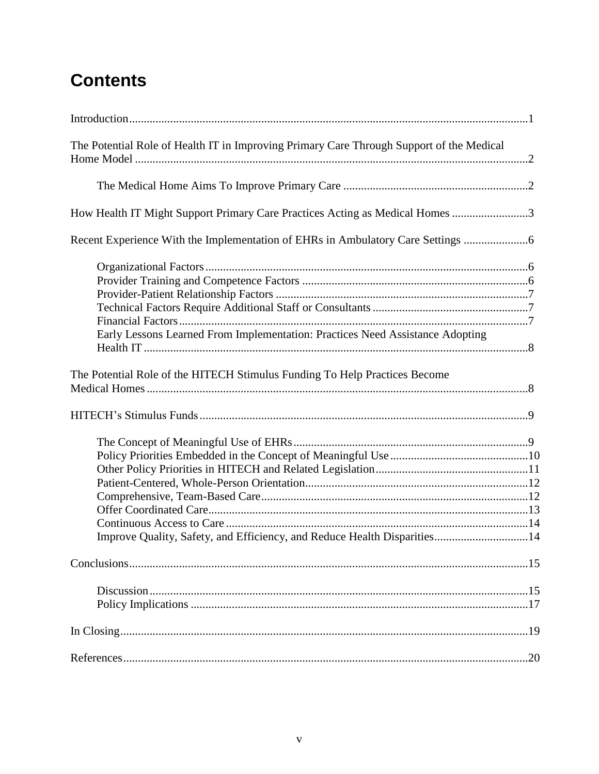# **Contents**

| The Potential Role of Health IT in Improving Primary Care Through Support of the Medical |     |
|------------------------------------------------------------------------------------------|-----|
|                                                                                          |     |
| How Health IT Might Support Primary Care Practices Acting as Medical Homes 3             |     |
| Recent Experience With the Implementation of EHRs in Ambulatory Care Settings            |     |
| Early Lessons Learned From Implementation: Practices Need Assistance Adopting            |     |
| The Potential Role of the HITECH Stimulus Funding To Help Practices Become               |     |
|                                                                                          |     |
| Improve Quality, Safety, and Efficiency, and Reduce Health Disparities14                 |     |
|                                                                                          |     |
|                                                                                          |     |
|                                                                                          |     |
|                                                                                          | .20 |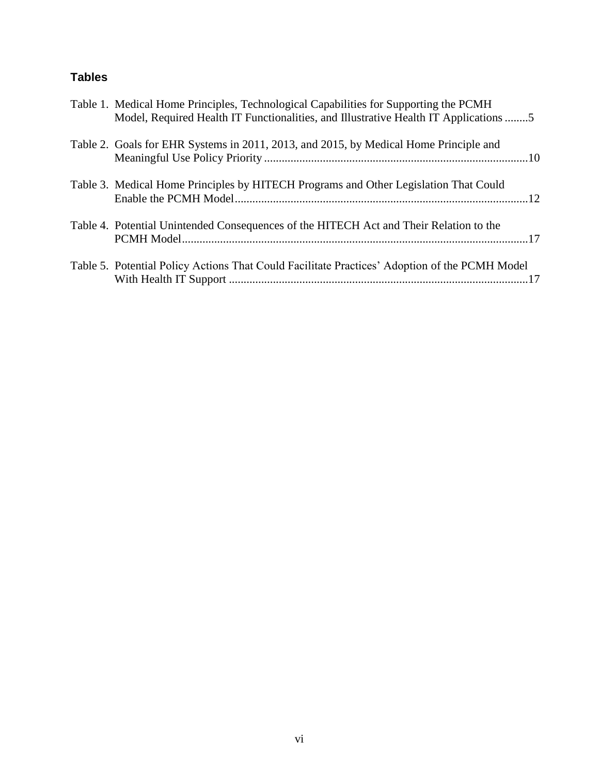## **Tables**

| Table 1. Medical Home Principles, Technological Capabilities for Supporting the PCMH<br>Model, Required Health IT Functionalities, and Illustrative Health IT Applications 5 |
|------------------------------------------------------------------------------------------------------------------------------------------------------------------------------|
| Table 2. Goals for EHR Systems in 2011, 2013, and 2015, by Medical Home Principle and                                                                                        |
| Table 3. Medical Home Principles by HITECH Programs and Other Legislation That Could                                                                                         |
| Table 4. Potential Unintended Consequences of the HITECH Act and Their Relation to the                                                                                       |
| Table 5. Potential Policy Actions That Could Facilitate Practices' Adoption of the PCMH Model                                                                                |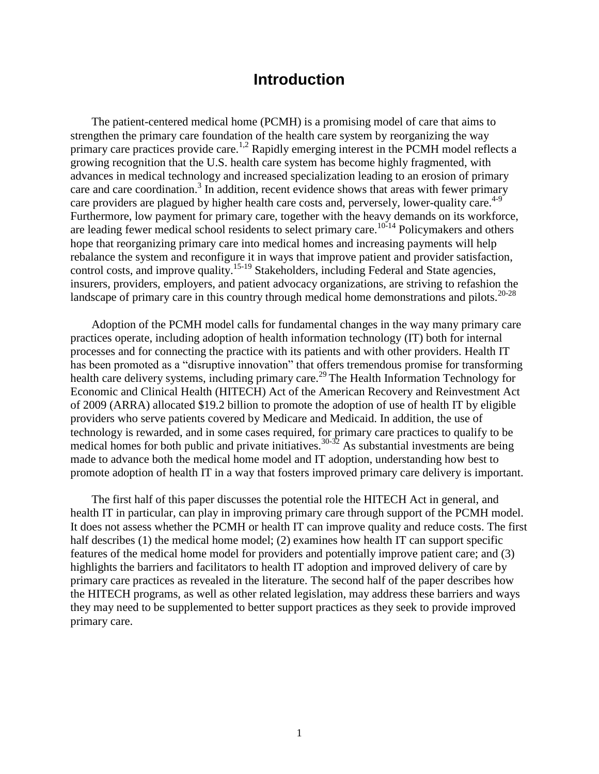## **Introduction**

The patient-centered medical home (PCMH) is a promising model of care that aims to strengthen the primary care foundation of the health care system by reorganizing the way primary care practices provide care.<sup>1,2</sup> Rapidly emerging interest in the PCMH model reflects a growing recognition that the U.S. health care system has become highly fragmented, with advances in medical technology and increased specialization leading to an erosion of primary care and care coordination.<sup>3</sup> In addition, recent evidence shows that areas with fewer primary care providers are plagued by higher health care costs and, perversely, lower-quality care.<sup>4-9</sup> Furthermore, low payment for primary care, together with the heavy demands on its workforce, are leading fewer medical school residents to select primary care.<sup>10-14</sup> Policymakers and others hope that reorganizing primary care into medical homes and increasing payments will help rebalance the system and reconfigure it in ways that improve patient and provider satisfaction, control costs, and improve quality.<sup>15-19</sup> Stakeholders, including Federal and State agencies, insurers, providers, employers, and patient advocacy organizations, are striving to refashion the landscape of primary care in this country through medical home demonstrations and pilots.<sup>20-28</sup>

Adoption of the PCMH model calls for fundamental changes in the way many primary care practices operate, including adoption of health information technology (IT) both for internal processes and for connecting the practice with its patients and with other providers. Health IT has been promoted as a "disruptive innovation" that offers tremendous promise for transforming health care delivery systems, including primary care.<sup>29</sup> The Health Information Technology for Economic and Clinical Health (HITECH) Act of the American Recovery and Reinvestment Act of 2009 (ARRA) allocated \$19.2 billion to promote the adoption of use of health IT by eligible providers who serve patients covered by Medicare and Medicaid. In addition, the use of technology is rewarded, and in some cases required, for primary care practices to qualify to be medical homes for both public and private initiatives.<sup>30-32</sup> As substantial investments are being made to advance both the medical home model and IT adoption, understanding how best to promote adoption of health IT in a way that fosters improved primary care delivery is important.

The first half of this paper discusses the potential role the HITECH Act in general, and health IT in particular, can play in improving primary care through support of the PCMH model. It does not assess whether the PCMH or health IT can improve quality and reduce costs. The first half describes (1) the medical home model; (2) examines how health IT can support specific features of the medical home model for providers and potentially improve patient care; and (3) highlights the barriers and facilitators to health IT adoption and improved delivery of care by primary care practices as revealed in the literature. The second half of the paper describes how the HITECH programs, as well as other related legislation, may address these barriers and ways they may need to be supplemented to better support practices as they seek to provide improved primary care.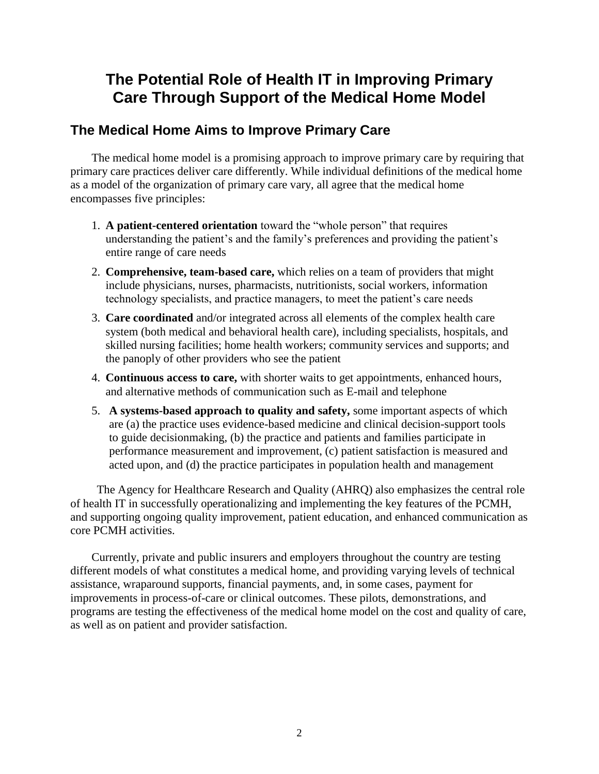## **The Potential Role of Health IT in Improving Primary Care Through Support of the Medical Home Model**

## **The Medical Home Aims to Improve Primary Care**

The medical home model is a promising approach to improve primary care by requiring that primary care practices deliver care differently. While individual definitions of the medical home as a model of the organization of primary care vary, all agree that the medical home encompasses five principles:

- 1. A patient-centered orientation toward the "whole person" that requires understanding the patient's and the family's preferences and providing the patient's entire range of care needs
- 2. **Comprehensive, team-based care,** which relies on a team of providers that might include physicians, nurses, pharmacists, nutritionists, social workers, information technology specialists, and practice managers, to meet the patient's care needs
- 3. **Care coordinated** and/or integrated across all elements of the complex health care system (both medical and behavioral health care), including specialists, hospitals, and skilled nursing facilities; home health workers; community services and supports; and the panoply of other providers who see the patient
- 4. **Continuous access to care,** with shorter waits to get appointments, enhanced hours, and alternative methods of communication such as E-mail and telephone
- 5. **A systems-based approach to quality and safety,** some important aspects of which are (a) the practice uses evidence-based medicine and clinical decision-support tools to guide decisionmaking, (b) the practice and patients and families participate in performance measurement and improvement, (c) patient satisfaction is measured and acted upon, and (d) the practice participates in population health and management

The Agency for Healthcare Research and Quality (AHRQ) also emphasizes the central role of health IT in successfully operationalizing and implementing the key features of the PCMH, and supporting ongoing quality improvement, patient education, and enhanced communication as core PCMH activities.

Currently, private and public insurers and employers throughout the country are testing different models of what constitutes a medical home, and providing varying levels of technical assistance, wraparound supports, financial payments, and, in some cases, payment for improvements in process-of-care or clinical outcomes. These pilots, demonstrations, and programs are testing the effectiveness of the medical home model on the cost and quality of care, as well as on patient and provider satisfaction.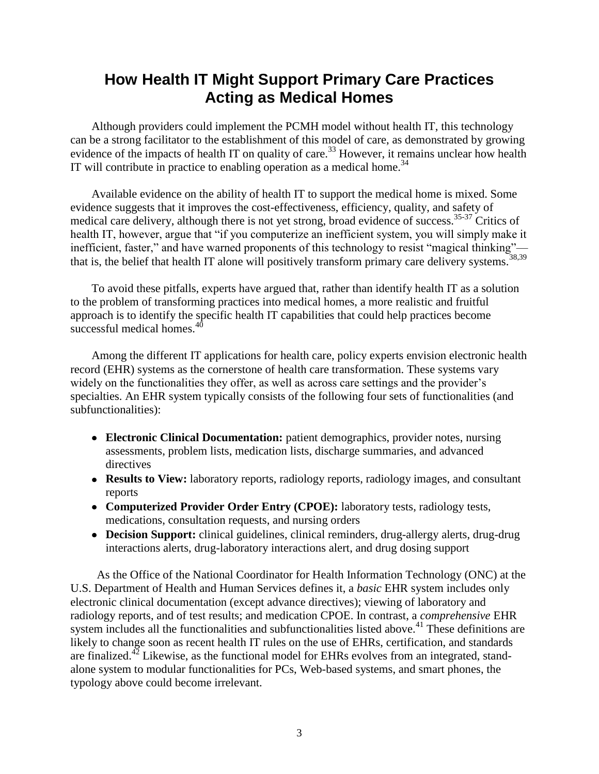## **How Health IT Might Support Primary Care Practices Acting as Medical Homes**

Although providers could implement the PCMH model without health IT, this technology can be a strong facilitator to the establishment of this model of care, as demonstrated by growing evidence of the impacts of health IT on quality of care.<sup>33</sup> However, it remains unclear how health IT will contribute in practice to enabling operation as a medical home.<sup>34</sup>

Available evidence on the ability of health IT to support the medical home is mixed. Some evidence suggests that it improves the cost-effectiveness, efficiency, quality, and safety of medical care delivery, although there is not yet strong, broad evidence of success.35-37 Critics of health IT, however, argue that "if you computerize an inefficient system, you will simply make it inefficient, faster," and have warned proponents of this technology to resist "magical thinking"– that is, the belief that health IT alone will positively transform primary care delivery systems.<sup>38,39</sup>

To avoid these pitfalls, experts have argued that, rather than identify health IT as a solution to the problem of transforming practices into medical homes, a more realistic and fruitful approach is to identify the specific health IT capabilities that could help practices become successful medical homes.<sup>40</sup>

Among the different IT applications for health care, policy experts envision electronic health record (EHR) systems as the cornerstone of health care transformation. These systems vary widely on the functionalities they offer, as well as across care settings and the provider's specialties. An EHR system typically consists of the following four sets of functionalities (and subfunctionalities):

- **Electronic Clinical Documentation:** patient demographics, provider notes, nursing assessments, problem lists, medication lists, discharge summaries, and advanced directives
- **Results to View:** laboratory reports, radiology reports, radiology images, and consultant reports
- **Computerized Provider Order Entry (CPOE):** laboratory tests, radiology tests, medications, consultation requests, and nursing orders
- **Decision Support:** clinical guidelines, clinical reminders, drug-allergy alerts, drug-drug interactions alerts, drug-laboratory interactions alert, and drug dosing support

As the Office of the National Coordinator for Health Information Technology (ONC) at the U.S. Department of Health and Human Services defines it, a *basic* EHR system includes only electronic clinical documentation (except advance directives); viewing of laboratory and radiology reports, and of test results; and medication CPOE. In contrast, a *comprehensive* EHR system includes all the functionalities and subfunctionalities listed above.<sup>41</sup> These definitions are likely to change soon as recent health IT rules on the use of EHRs, certification, and standards are finalized.<sup>42</sup> Likewise, as the functional model for EHRs evolves from an integrated, standalone system to modular functionalities for PCs, Web-based systems, and smart phones, the typology above could become irrelevant.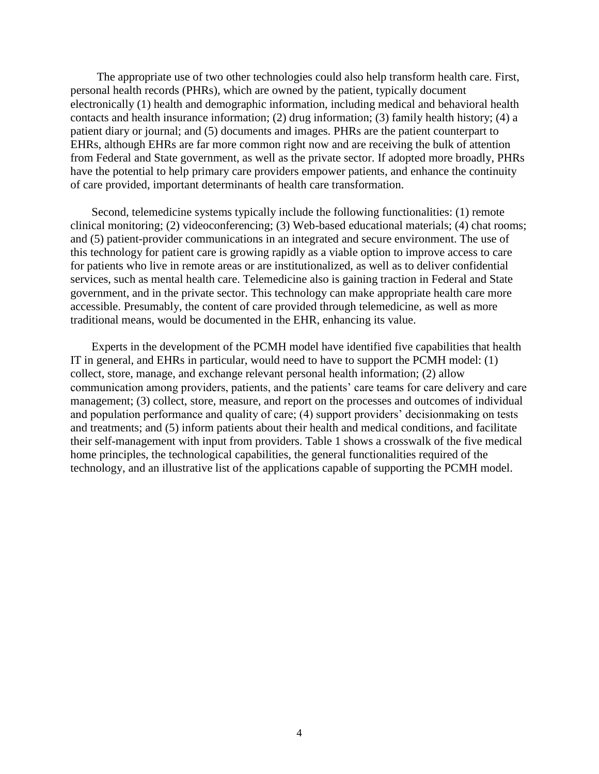The appropriate use of two other technologies could also help transform health care. First, personal health records (PHRs), which are owned by the patient, typically document electronically (1) health and demographic information, including medical and behavioral health contacts and health insurance information; (2) drug information; (3) family health history; (4) a patient diary or journal; and (5) documents and images. PHRs are the patient counterpart to EHRs, although EHRs are far more common right now and are receiving the bulk of attention from Federal and State government, as well as the private sector. If adopted more broadly, PHRs have the potential to help primary care providers empower patients, and enhance the continuity of care provided, important determinants of health care transformation.

Second, telemedicine systems typically include the following functionalities: (1) remote clinical monitoring; (2) videoconferencing; (3) Web-based educational materials; (4) chat rooms; and (5) patient-provider communications in an integrated and secure environment. The use of this technology for patient care is growing rapidly as a viable option to improve access to care for patients who live in remote areas or are institutionalized, as well as to deliver confidential services, such as mental health care. Telemedicine also is gaining traction in Federal and State government, and in the private sector. This technology can make appropriate health care more accessible. Presumably, the content of care provided through telemedicine, as well as more traditional means, would be documented in the EHR, enhancing its value.

Experts in the development of the PCMH model have identified five capabilities that health IT in general, and EHRs in particular, would need to have to support the PCMH model: (1) collect, store, manage, and exchange relevant personal health information; (2) allow communication among providers, patients, and the patients' care teams for care delivery and care management; (3) collect, store, measure, and report on the processes and outcomes of individual and population performance and quality of care; (4) support providers' decisionmaking on tests and treatments; and (5) inform patients about their health and medical conditions, and facilitate their self-management with input from providers. Table 1 shows a crosswalk of the five medical home principles, the technological capabilities, the general functionalities required of the technology, and an illustrative list of the applications capable of supporting the PCMH model.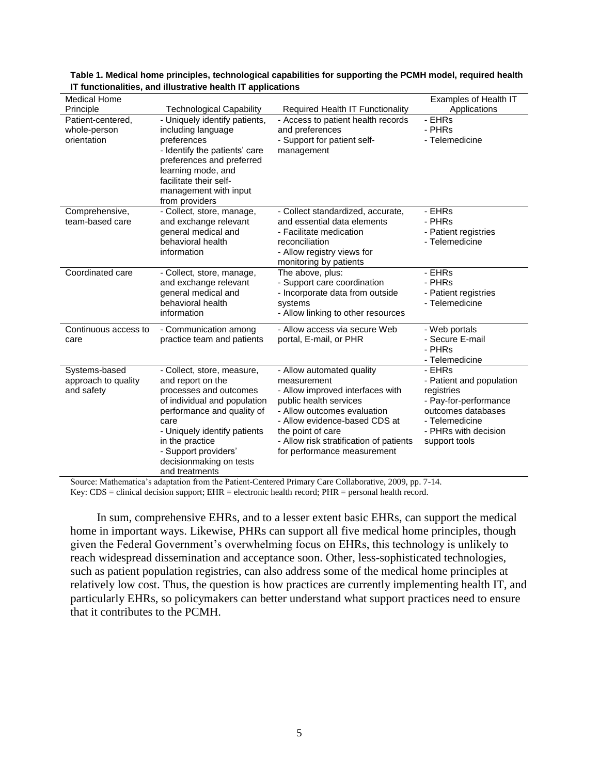| <b>Medical Home</b>                                |                                                                                                                                                                                                                                                                         |                                                                                                                                                                                                                                                                       | Examples of Health IT                                                                                                                                      |
|----------------------------------------------------|-------------------------------------------------------------------------------------------------------------------------------------------------------------------------------------------------------------------------------------------------------------------------|-----------------------------------------------------------------------------------------------------------------------------------------------------------------------------------------------------------------------------------------------------------------------|------------------------------------------------------------------------------------------------------------------------------------------------------------|
| Principle                                          | <b>Technological Capability</b>                                                                                                                                                                                                                                         | <b>Required Health IT Functionality</b>                                                                                                                                                                                                                               | Applications                                                                                                                                               |
| Patient-centered,<br>whole-person<br>orientation   | - Uniquely identify patients,<br>including language<br>preferences<br>- Identify the patients' care<br>preferences and preferred<br>learning mode, and<br>facilitate their self-<br>management with input<br>from providers                                             | - Access to patient health records<br>and preferences<br>- Support for patient self-<br>management                                                                                                                                                                    | - EHRs<br>- PHRs<br>- Telemedicine                                                                                                                         |
| Comprehensive,<br>team-based care                  | - Collect, store, manage,<br>and exchange relevant<br>general medical and<br>behavioral health<br>information                                                                                                                                                           | - Collect standardized, accurate,<br>and essential data elements<br>- Facilitate medication<br>reconciliation<br>- Allow registry views for<br>monitoring by patients                                                                                                 | - EHRs<br>- PHRs<br>- Patient registries<br>- Telemedicine                                                                                                 |
| Coordinated care                                   | - Collect, store, manage,<br>and exchange relevant<br>general medical and<br>behavioral health<br>information                                                                                                                                                           | The above, plus:<br>- Support care coordination<br>- Incorporate data from outside<br>systems<br>- Allow linking to other resources                                                                                                                                   | - EHRs<br>- PHRs<br>- Patient registries<br>- Telemedicine                                                                                                 |
| Continuous access to<br>care                       | - Communication among<br>practice team and patients                                                                                                                                                                                                                     | - Allow access via secure Web<br>portal, E-mail, or PHR                                                                                                                                                                                                               | - Web portals<br>- Secure E-mail<br>- PHRs<br>- Telemedicine                                                                                               |
| Systems-based<br>approach to quality<br>and safety | - Collect, store, measure,<br>and report on the<br>processes and outcomes<br>of individual and population<br>performance and quality of<br>care<br>- Uniquely identify patients<br>in the practice<br>- Support providers'<br>decisionmaking on tests<br>and treatments | - Allow automated quality<br>measurement<br>- Allow improved interfaces with<br>public health services<br>- Allow outcomes evaluation<br>- Allow evidence-based CDS at<br>the point of care<br>- Allow risk stratification of patients<br>for performance measurement | - EHRs<br>- Patient and population<br>registries<br>- Pay-for-performance<br>outcomes databases<br>- Telemedicine<br>- PHRs with decision<br>support tools |

#### **Table 1. Medical home principles, technological capabilities for supporting the PCMH model, required health IT functionalities, and illustrative health IT applications**

Source: Mathematica's adaptation from the Patient-Centered Primary Care Collaborative, 2009, pp. 7-14. Key: CDS = clinical decision support; EHR = electronic health record; PHR = personal health record.

In sum, comprehensive EHRs, and to a lesser extent basic EHRs, can support the medical home in important ways. Likewise, PHRs can support all five medical home principles, though given the Federal Government's overwhelming focus on EHRs, this technology is unlikely to reach widespread dissemination and acceptance soon. Other, less-sophisticated technologies, such as patient population registries, can also address some of the medical home principles at relatively low cost. Thus, the question is how practices are currently implementing health IT, and particularly EHRs, so policymakers can better understand what support practices need to ensure that it contributes to the PCMH.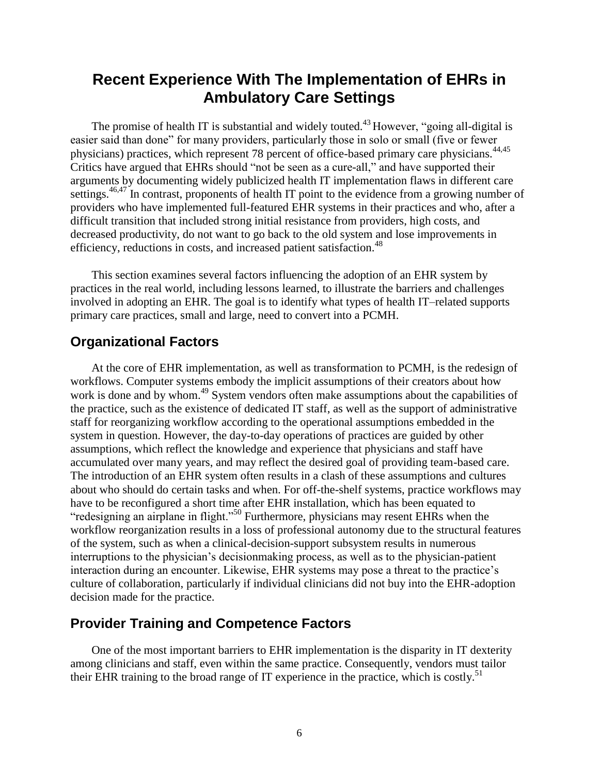## **Recent Experience With The Implementation of EHRs in Ambulatory Care Settings**

The promise of health IT is substantial and widely touted.<sup>43</sup> However, "going all-digital is easier said than done" for many providers, particularly those in solo or small (five or fewer physicians) practices, which represent 78 percent of office-based primary care physicians.<sup>44,45</sup> Critics have argued that EHRs should "not be seen as a cure-all," and have supported their arguments by documenting widely publicized health IT implementation flaws in different care settings.<sup>46,47</sup> In contrast, proponents of health IT point to the evidence from a growing number of providers who have implemented full-featured EHR systems in their practices and who, after a difficult transition that included strong initial resistance from providers, high costs, and decreased productivity, do not want to go back to the old system and lose improvements in efficiency, reductions in costs, and increased patient satisfaction.<sup>48</sup>

This section examines several factors influencing the adoption of an EHR system by practices in the real world, including lessons learned, to illustrate the barriers and challenges involved in adopting an EHR. The goal is to identify what types of health IT–related supports primary care practices, small and large, need to convert into a PCMH.

#### **Organizational Factors**

At the core of EHR implementation, as well as transformation to PCMH, is the redesign of workflows. Computer systems embody the implicit assumptions of their creators about how work is done and by whom.<sup>49</sup> System vendors often make assumptions about the capabilities of the practice, such as the existence of dedicated IT staff, as well as the support of administrative staff for reorganizing workflow according to the operational assumptions embedded in the system in question. However, the day-to-day operations of practices are guided by other assumptions, which reflect the knowledge and experience that physicians and staff have accumulated over many years, and may reflect the desired goal of providing team-based care. The introduction of an EHR system often results in a clash of these assumptions and cultures about who should do certain tasks and when. For off-the-shelf systems, practice workflows may have to be reconfigured a short time after EHR installation, which has been equated to "redesigning an airplane in flight."<sup>50</sup> Furthermore, physicians may resent EHRs when the workflow reorganization results in a loss of professional autonomy due to the structural features of the system, such as when a clinical-decision-support subsystem results in numerous interruptions to the physician's decisionmaking process, as well as to the physician-patient interaction during an encounter. Likewise, EHR systems may pose a threat to the practice's culture of collaboration, particularly if individual clinicians did not buy into the EHR-adoption decision made for the practice.

## **Provider Training and Competence Factors**

One of the most important barriers to EHR implementation is the disparity in IT dexterity among clinicians and staff, even within the same practice. Consequently, vendors must tailor their EHR training to the broad range of IT experience in the practice, which is costly.<sup>51</sup>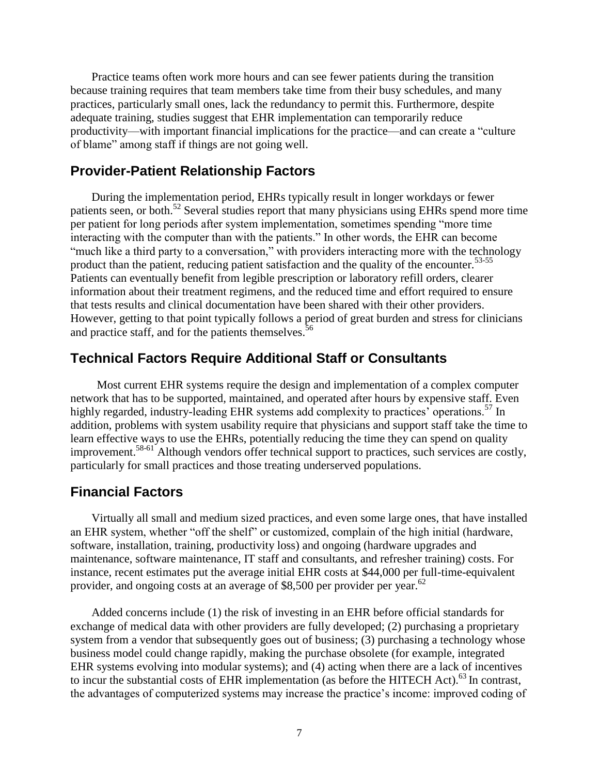Practice teams often work more hours and can see fewer patients during the transition because training requires that team members take time from their busy schedules, and many practices, particularly small ones, lack the redundancy to permit this. Furthermore, despite adequate training, studies suggest that EHR implementation can temporarily reduce productivity—with important financial implications for the practice—and can create a "culture" of blame" among staff if things are not going well.

#### **Provider-Patient Relationship Factors**

During the implementation period, EHRs typically result in longer workdays or fewer patients seen, or both.<sup>52</sup> Several studies report that many physicians using EHRs spend more time per patient for long periods after system implementation, sometimes spending "more time interacting with the computer than with the patients." In other words, the EHR can become "much like a third party to a conversation," with providers interacting more with the technology product than the patient, reducing patient satisfaction and the quality of the encounter.<sup>53-55</sup> Patients can eventually benefit from legible prescription or laboratory refill orders, clearer information about their treatment regimens, and the reduced time and effort required to ensure that tests results and clinical documentation have been shared with their other providers. However, getting to that point typically follows a period of great burden and stress for clinicians and practice staff, and for the patients themselves.<sup>56</sup>

#### **Technical Factors Require Additional Staff or Consultants**

Most current EHR systems require the design and implementation of a complex computer network that has to be supported, maintained, and operated after hours by expensive staff. Even highly regarded, industry-leading EHR systems add complexity to practices' operations.<sup>57</sup> In addition, problems with system usability require that physicians and support staff take the time to learn effective ways to use the EHRs, potentially reducing the time they can spend on quality improvement.58-61 Although vendors offer technical support to practices, such services are costly, particularly for small practices and those treating underserved populations.

#### **Financial Factors**

Virtually all small and medium sized practices, and even some large ones, that have installed an EHR system, whether "off the shelf" or customized, complain of the high initial (hardware, software, installation, training, productivity loss) and ongoing (hardware upgrades and maintenance, software maintenance, IT staff and consultants, and refresher training) costs. For instance, recent estimates put the average initial EHR costs at \$44,000 per full-time-equivalent provider, and ongoing costs at an average of \$8,500 per provider per year.<sup>62</sup>

Added concerns include (1) the risk of investing in an EHR before official standards for exchange of medical data with other providers are fully developed; (2) purchasing a proprietary system from a vendor that subsequently goes out of business; (3) purchasing a technology whose business model could change rapidly, making the purchase obsolete (for example, integrated EHR systems evolving into modular systems); and (4) acting when there are a lack of incentives to incur the substantial costs of EHR implementation (as before the HITECH Act).<sup>63</sup> In contrast, the advantages of computerized systems may increase the practice's income: improved coding of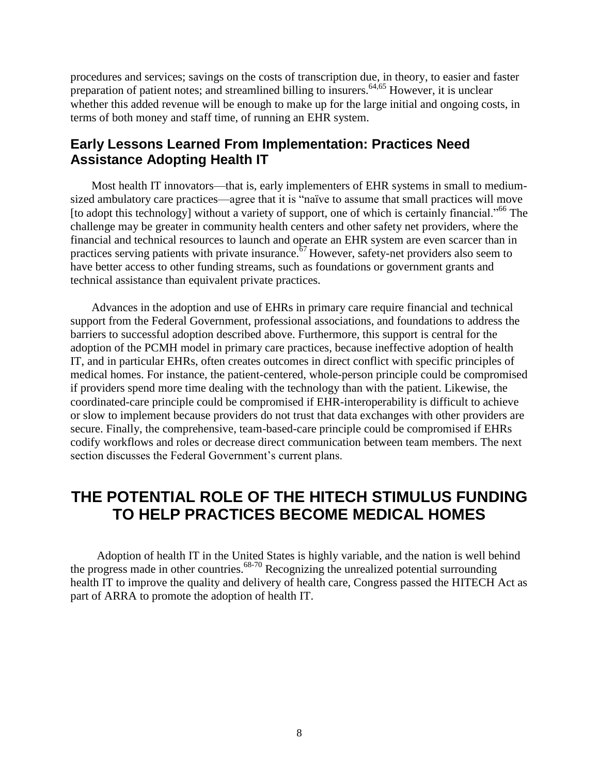procedures and services; savings on the costs of transcription due, in theory, to easier and faster preparation of patient notes; and streamlined billing to insurers.<sup>64,65</sup> However, it is unclear whether this added revenue will be enough to make up for the large initial and ongoing costs, in terms of both money and staff time, of running an EHR system.

#### **Early Lessons Learned From Implementation: Practices Need Assistance Adopting Health IT**

Most health IT innovators—that is, early implementers of EHR systems in small to mediumsized ambulatory care practices—agree that it is "naïve to assume that small practices will move [to adopt this technology] without a variety of support, one of which is certainly financial."<sup>66</sup> The challenge may be greater in community health centers and other safety net providers, where the financial and technical resources to launch and operate an EHR system are even scarcer than in practices serving patients with private insurance.<sup>67</sup>However, safety-net providers also seem to have better access to other funding streams, such as foundations or government grants and technical assistance than equivalent private practices.

Advances in the adoption and use of EHRs in primary care require financial and technical support from the Federal Government, professional associations, and foundations to address the barriers to successful adoption described above. Furthermore, this support is central for the adoption of the PCMH model in primary care practices, because ineffective adoption of health IT, and in particular EHRs, often creates outcomes in direct conflict with specific principles of medical homes. For instance, the patient-centered, whole-person principle could be compromised if providers spend more time dealing with the technology than with the patient. Likewise, the coordinated-care principle could be compromised if EHR-interoperability is difficult to achieve or slow to implement because providers do not trust that data exchanges with other providers are secure. Finally, the comprehensive, team-based-care principle could be compromised if EHRs codify workflows and roles or decrease direct communication between team members. The next section discusses the Federal Government's current plans.

## **THE POTENTIAL ROLE OF THE HITECH STIMULUS FUNDING TO HELP PRACTICES BECOME MEDICAL HOMES**

Adoption of health IT in the United States is highly variable, and the nation is well behind the progress made in other countries.<sup>68-70</sup> Recognizing the unrealized potential surrounding health IT to improve the quality and delivery of health care, Congress passed the HITECH Act as part of ARRA to promote the adoption of health IT.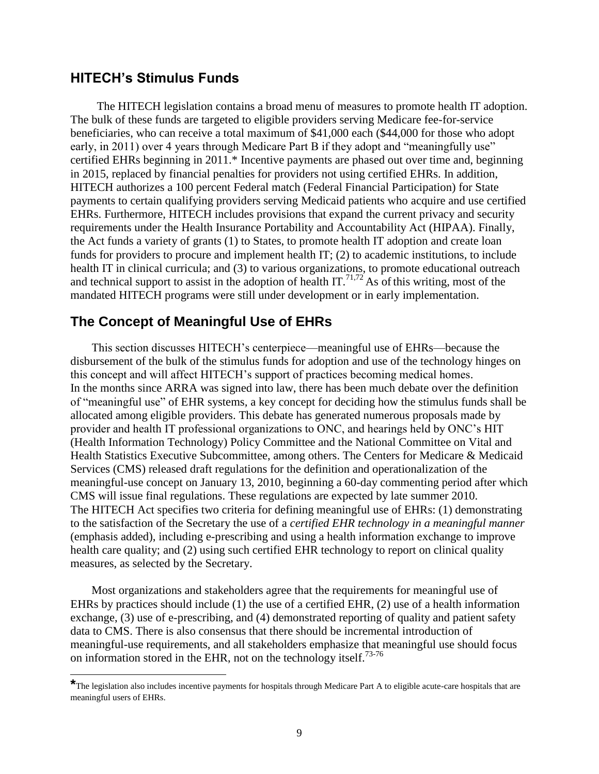#### **HITECH's Stimulus Funds**

The HITECH legislation contains a broad menu of measures to promote health IT adoption. The bulk of these funds are targeted to eligible providers serving Medicare fee-for-service beneficiaries, who can receive a total maximum of \$41,000 each (\$44,000 for those who adopt early, in 2011) over 4 years through Medicare Part B if they adopt and "meaningfully use" certified EHRs beginning in 2011.\* Incentive payments are phased out over time and, beginning in 2015, replaced by financial penalties for providers not using certified EHRs. In addition, HITECH authorizes a 100 percent Federal match (Federal Financial Participation) for State payments to certain qualifying providers serving Medicaid patients who acquire and use certified EHRs. Furthermore, HITECH includes provisions that expand the current privacy and security requirements under the Health Insurance Portability and Accountability Act (HIPAA). Finally, the Act funds a variety of grants (1) to States, to promote health IT adoption and create loan funds for providers to procure and implement health IT; (2) to academic institutions, to include health IT in clinical curricula; and (3) to various organizations, to promote educational outreach and technical support to assist in the adoption of health IT.<sup>71,72</sup> As of this writing, most of the mandated HITECH programs were still under development or in early implementation.

#### **The Concept of Meaningful Use of EHRs**

This section discusses HITECH's centerpiece—meaningful use of EHRs—because the disbursement of the bulk of the stimulus funds for adoption and use of the technology hinges on this concept and will affect HITECH's support of practices becoming medical homes. In the months since ARRA was signed into law, there has been much debate over the definition of "meaningful use" of EHR systems, a key concept for deciding how the stimulus funds shall be allocated among eligible providers. This debate has generated numerous proposals made by provider and health IT professional organizations to ONC, and hearings held by ONC's HIT (Health Information Technology) Policy Committee and the National Committee on Vital and Health Statistics Executive Subcommittee, among others. The Centers for Medicare & Medicaid Services (CMS) released draft regulations for the definition and operationalization of the meaningful-use concept on January 13, 2010, beginning a 60-day commenting period after which CMS will issue final regulations. These regulations are expected by late summer 2010. The HITECH Act specifies two criteria for defining meaningful use of EHRs: (1) demonstrating to the satisfaction of the Secretary the use of a *certified EHR technology in a meaningful manner* (emphasis added), including e-prescribing and using a health information exchange to improve health care quality; and (2) using such certified EHR technology to report on clinical quality measures, as selected by the Secretary.

Most organizations and stakeholders agree that the requirements for meaningful use of EHRs by practices should include (1) the use of a certified EHR, (2) use of a health information exchange, (3) use of e-prescribing, and (4) demonstrated reporting of quality and patient safety data to CMS. There is also consensus that there should be incremental introduction of meaningful-use requirements, and all stakeholders emphasize that meaningful use should focus on information stored in the EHR, not on the technology itself.<sup>73-76</sup>

**<sup>\*</sup>**The legislation also includes incentive payments for hospitals through Medicare Part A to eligible acute-care hospitals that are meaningful users of EHRs.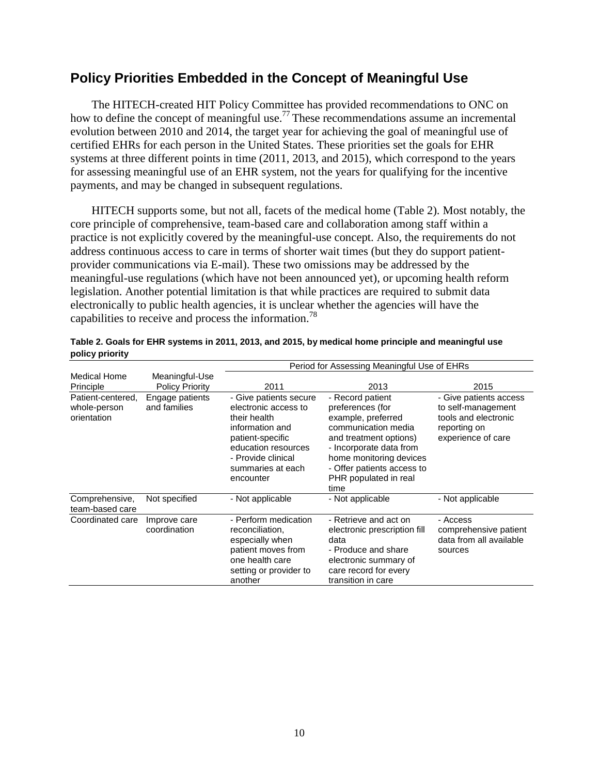## **Policy Priorities Embedded in the Concept of Meaningful Use**

The HITECH-created HIT Policy Committee has provided recommendations to ONC on how to define the concept of meaningful use.<sup>77</sup> These recommendations assume an incremental evolution between 2010 and 2014, the target year for achieving the goal of meaningful use of certified EHRs for each person in the United States. These priorities set the goals for EHR systems at three different points in time (2011, 2013, and 2015), which correspond to the years for assessing meaningful use of an EHR system, not the years for qualifying for the incentive payments, and may be changed in subsequent regulations.

HITECH supports some, but not all, facets of the medical home (Table 2). Most notably, the core principle of comprehensive, team-based care and collaboration among staff within a practice is not explicitly covered by the meaningful-use concept. Also, the requirements do not address continuous access to care in terms of shorter wait times (but they do support patientprovider communications via E-mail). These two omissions may be addressed by the meaningful-use regulations (which have not been announced yet), or upcoming health reform legislation. Another potential limitation is that while practices are required to submit data electronically to public health agencies, it is unclear whether the agencies will have the capabilities to receive and process the information.<sup>78</sup>

|                                                  |                                          | Period for Assessing Meaningful Use of EHRs                                                                                                                                          |                                                                                                                                                                                                                                  |                                                                                                            |
|--------------------------------------------------|------------------------------------------|--------------------------------------------------------------------------------------------------------------------------------------------------------------------------------------|----------------------------------------------------------------------------------------------------------------------------------------------------------------------------------------------------------------------------------|------------------------------------------------------------------------------------------------------------|
| Medical Home<br>Principle                        | Meaningful-Use<br><b>Policy Priority</b> | 2011                                                                                                                                                                                 | 2013                                                                                                                                                                                                                             | 2015                                                                                                       |
| Patient-centered,<br>whole-person<br>orientation | Engage patients<br>and families          | - Give patients secure<br>electronic access to<br>their health<br>information and<br>patient-specific<br>education resources<br>- Provide clinical<br>summaries at each<br>encounter | - Record patient<br>preferences (for<br>example, preferred<br>communication media<br>and treatment options)<br>- Incorporate data from<br>home monitoring devices<br>- Offer patients access to<br>PHR populated in real<br>time | - Give patients access<br>to self-management<br>tools and electronic<br>reporting on<br>experience of care |
| Comprehensive,<br>team-based care                | Not specified                            | - Not applicable                                                                                                                                                                     | - Not applicable                                                                                                                                                                                                                 | - Not applicable                                                                                           |
| Coordinated care                                 | Improve care<br>coordination             | - Perform medication<br>reconciliation,<br>especially when<br>patient moves from<br>one health care<br>setting or provider to<br>another                                             | - Retrieve and act on<br>electronic prescription fill<br>data<br>- Produce and share<br>electronic summary of<br>care record for every<br>transition in care                                                                     | - Access<br>comprehensive patient<br>data from all available<br>sources                                    |

| Table 2. Goals for EHR systems in 2011, 2013, and 2015, by medical home principle and meaningful use |  |
|------------------------------------------------------------------------------------------------------|--|
| policy priority                                                                                      |  |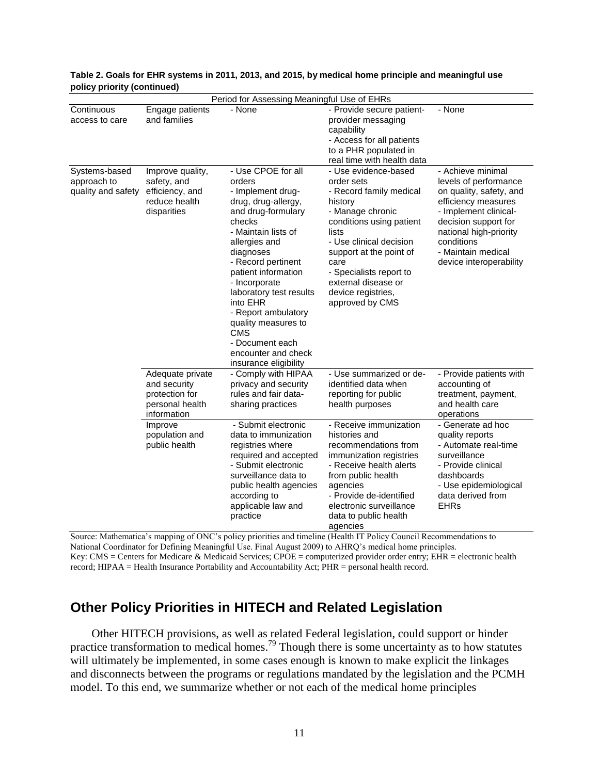| Period for Assessing Meaningful Use of EHRs        |                                                                                      |                                                                                                                                                                                                                                                                                                                                                                                                   |                                                                                                                                                                                                                                                                                            |                                                                                                                                                                                                                                        |
|----------------------------------------------------|--------------------------------------------------------------------------------------|---------------------------------------------------------------------------------------------------------------------------------------------------------------------------------------------------------------------------------------------------------------------------------------------------------------------------------------------------------------------------------------------------|--------------------------------------------------------------------------------------------------------------------------------------------------------------------------------------------------------------------------------------------------------------------------------------------|----------------------------------------------------------------------------------------------------------------------------------------------------------------------------------------------------------------------------------------|
| Continuous<br>access to care                       | Engage patients<br>and families                                                      | - None                                                                                                                                                                                                                                                                                                                                                                                            | - Provide secure patient-<br>provider messaging<br>capability<br>- Access for all patients<br>to a PHR populated in<br>real time with health data                                                                                                                                          | - None                                                                                                                                                                                                                                 |
| Systems-based<br>approach to<br>quality and safety | Improve quality,<br>safety, and<br>efficiency, and<br>reduce health<br>disparities   | - Use CPOE for all<br>orders<br>- Implement drug-<br>drug, drug-allergy,<br>and drug-formulary<br>checks<br>- Maintain lists of<br>allergies and<br>diagnoses<br>- Record pertinent<br>patient information<br>- Incorporate<br>laboratory test results<br>into EHR<br>- Report ambulatory<br>quality measures to<br><b>CMS</b><br>- Document each<br>encounter and check<br>insurance eligibility | - Use evidence-based<br>order sets<br>- Record family medical<br>history<br>- Manage chronic<br>conditions using patient<br>lists<br>- Use clinical decision<br>support at the point of<br>care<br>- Specialists report to<br>external disease or<br>device registries,<br>approved by CMS | - Achieve minimal<br>levels of performance<br>on quality, safety, and<br>efficiency measures<br>- Implement clinical-<br>decision support for<br>national high-priority<br>conditions<br>- Maintain medical<br>device interoperability |
|                                                    | Adequate private<br>and security<br>protection for<br>personal health<br>information | - Comply with HIPAA<br>privacy and security<br>rules and fair data-<br>sharing practices                                                                                                                                                                                                                                                                                                          | - Use summarized or de-<br>identified data when<br>reporting for public<br>health purposes                                                                                                                                                                                                 | - Provide patients with<br>accounting of<br>treatment, payment,<br>and health care<br>operations                                                                                                                                       |
|                                                    | Improve<br>population and<br>public health                                           | - Submit electronic<br>data to immunization<br>registries where<br>required and accepted<br>- Submit electronic<br>surveillance data to<br>public health agencies<br>according to<br>applicable law and<br>practice                                                                                                                                                                               | - Receive immunization<br>histories and<br>recommendations from<br>immunization registries<br>- Receive health alerts<br>from public health<br>agencies<br>- Provide de-identified<br>electronic surveillance<br>data to public health<br>agencies                                         | - Generate ad hoc<br>quality reports<br>- Automate real-time<br>surveillance<br>- Provide clinical<br>dashboards<br>- Use epidemiological<br>data derived from<br><b>EHRs</b>                                                          |

#### **Table 2. Goals for EHR systems in 2011, 2013, and 2015, by medical home principle and meaningful use policy priority (continued)**

Source: Mathematica's mapping of ONC's policy priorities and timeline (Health IT Policy Council Recommendations to National Coordinator for Defining Meaningful Use. Final August 2009) to AHRQ's medical home principles. Key: CMS = Centers for Medicare & Medicaid Services; CPOE = computerized provider order entry; EHR = electronic health record; HIPAA = Health Insurance Portability and Accountability Act; PHR = personal health record.

## **Other Policy Priorities in HITECH and Related Legislation**

Other HITECH provisions, as well as related Federal legislation, could support or hinder practice transformation to medical homes.<sup>79</sup> Though there is some uncertainty as to how statutes will ultimately be implemented, in some cases enough is known to make explicit the linkages and disconnects between the programs or regulations mandated by the legislation and the PCMH model. To this end, we summarize whether or not each of the medical home principles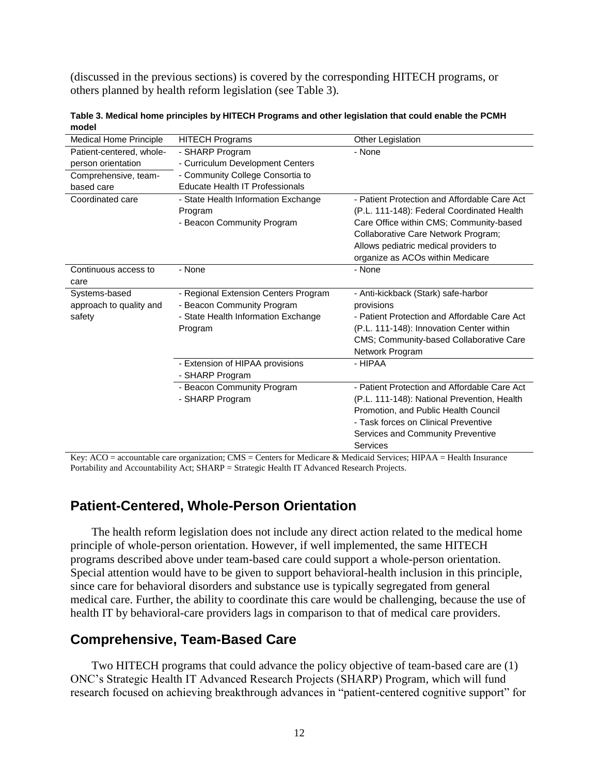(discussed in the previous sections) is covered by the corresponding HITECH programs, or others planned by health reform legislation (see Table 3).

| Medical Home Principle   | <b>HITECH Programs</b>               | Other Legislation                            |
|--------------------------|--------------------------------------|----------------------------------------------|
| Patient-centered, whole- | - SHARP Program                      | - None                                       |
| person orientation       | - Curriculum Development Centers     |                                              |
| Comprehensive, team-     | - Community College Consortia to     |                                              |
| based care               | Educate Health IT Professionals      |                                              |
| Coordinated care         | - State Health Information Exchange  | - Patient Protection and Affordable Care Act |
|                          | Program                              | (P.L. 111-148): Federal Coordinated Health   |
|                          | - Beacon Community Program           | Care Office within CMS; Community-based      |
|                          |                                      | Collaborative Care Network Program;          |
|                          |                                      | Allows pediatric medical providers to        |
|                          |                                      | organize as ACOs within Medicare             |
| Continuous access to     | - None                               | - None                                       |
| care                     |                                      |                                              |
| Systems-based            | - Regional Extension Centers Program | - Anti-kickback (Stark) safe-harbor          |
| approach to quality and  | - Beacon Community Program           | provisions                                   |
| safety                   | - State Health Information Exchange  | - Patient Protection and Affordable Care Act |
|                          | Program                              | (P.L. 111-148): Innovation Center within     |
|                          |                                      | CMS; Community-based Collaborative Care      |
|                          |                                      | Network Program                              |
|                          | - Extension of HIPAA provisions      | - HIPAA                                      |
|                          | - SHARP Program                      |                                              |
|                          | - Beacon Community Program           | - Patient Protection and Affordable Care Act |
|                          | - SHARP Program                      | (P.L. 111-148): National Prevention, Health  |
|                          |                                      | Promotion, and Public Health Council         |
|                          |                                      | - Task forces on Clinical Preventive         |
|                          |                                      | Services and Community Preventive            |
|                          |                                      | Services                                     |

**Table 3. Medical home principles by HITECH Programs and other legislation that could enable the PCMH model**

Key: ACO = accountable care organization; CMS = Centers for Medicare & Medicaid Services; HIPAA = Health Insurance Portability and Accountability Act; SHARP = Strategic Health IT Advanced Research Projects.

## **Patient-Centered, Whole-Person Orientation**

The health reform legislation does not include any direct action related to the medical home principle of whole-person orientation. However, if well implemented, the same HITECH programs described above under team-based care could support a whole-person orientation. Special attention would have to be given to support behavioral-health inclusion in this principle, since care for behavioral disorders and substance use is typically segregated from general medical care. Further, the ability to coordinate this care would be challenging, because the use of health IT by behavioral-care providers lags in comparison to that of medical care providers.

## **Comprehensive, Team-Based Care**

Two HITECH programs that could advance the policy objective of team-based care are (1) ONC's Strategic Health IT Advanced Research Projects (SHARP) Program, which will fund research focused on achieving breakthrough advances in "patient-centered cognitive support" for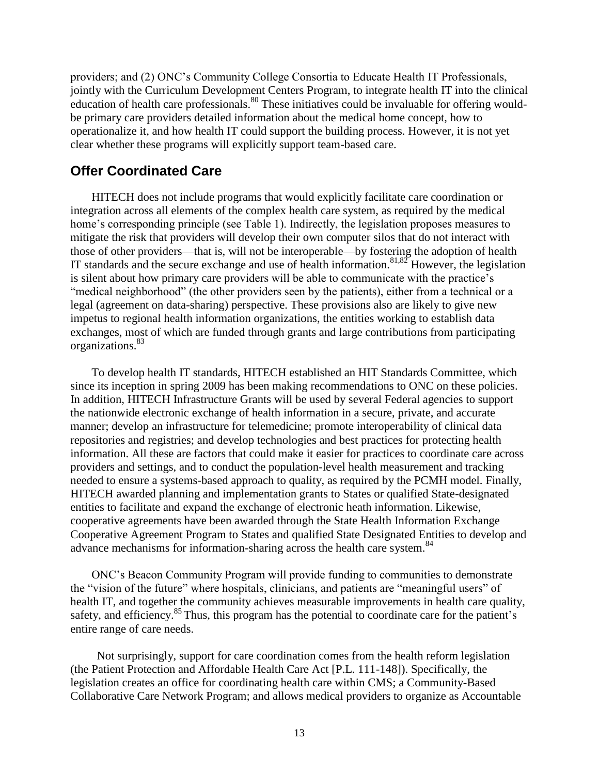providers; and (2) ONC's Community College Consortia to Educate Health IT Professionals, jointly with the Curriculum Development Centers Program, to integrate health IT into the clinical education of health care professionals.<sup>80</sup> These initiatives could be invaluable for offering wouldbe primary care providers detailed information about the medical home concept, how to operationalize it, and how health IT could support the building process. However, it is not yet clear whether these programs will explicitly support team-based care.

#### **Offer Coordinated Care**

HITECH does not include programs that would explicitly facilitate care coordination or integration across all elements of the complex health care system, as required by the medical home's corresponding principle (see Table 1). Indirectly, the legislation proposes measures to mitigate the risk that providers will develop their own computer silos that do not interact with those of other providers—that is, will not be interoperable—by fostering the adoption of health IT standards and the secure exchange and use of health information.<sup>81,82</sup> However, the legislation is silent about how primary care providers will be able to communicate with the practice's "medical neighborhood" (the other providers seen by the patients), either from a technical or a legal (agreement on data-sharing) perspective. These provisions also are likely to give new impetus to regional health information organizations, the entities working to establish data exchanges, most of which are funded through grants and large contributions from participating organizations.<sup>83</sup>

To develop health IT standards, HITECH established an HIT Standards Committee, which since its inception in spring 2009 has been making recommendations to ONC on these policies. In addition, HITECH Infrastructure Grants will be used by several Federal agencies to support the nationwide electronic exchange of health information in a secure, private, and accurate manner; develop an infrastructure for telemedicine; promote interoperability of clinical data repositories and registries; and develop technologies and best practices for protecting health information. All these are factors that could make it easier for practices to coordinate care across providers and settings, and to conduct the population-level health measurement and tracking needed to ensure a systems-based approach to quality, as required by the PCMH model. Finally, HITECH awarded planning and implementation grants to States or qualified State-designated entities to facilitate and expand the exchange of electronic heath information. Likewise, cooperative agreements have been awarded through the State Health Information Exchange Cooperative Agreement Program to States and qualified State Designated Entities to develop and advance mechanisms for information-sharing across the health care system.<sup>84</sup>

ONC's Beacon Community Program will provide funding to communities to demonstrate the "vision of the future" where hospitals, clinicians, and patients are "meaningful users" of health IT, and together the community achieves measurable improvements in health care quality, safety, and efficiency.<sup>85</sup> Thus, this program has the potential to coordinate care for the patient's entire range of care needs.

Not surprisingly, support for care coordination comes from the health reform legislation (the Patient Protection and Affordable Health Care Act [P.L. 111-148]). Specifically, the legislation creates an office for coordinating health care within CMS; a Community-Based Collaborative Care Network Program; and allows medical providers to organize as Accountable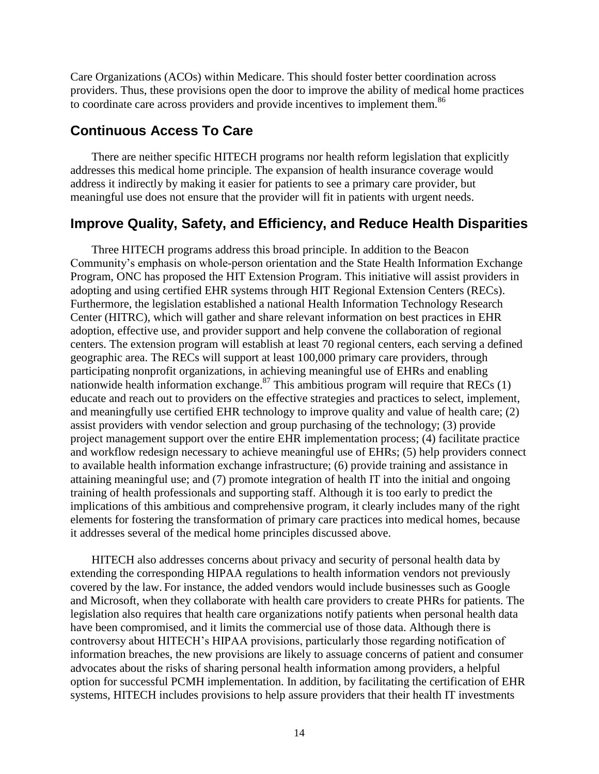Care Organizations (ACOs) within Medicare. This should foster better coordination across providers. Thus, these provisions open the door to improve the ability of medical home practices to coordinate care across providers and provide incentives to implement them.<sup>86</sup>

#### **Continuous Access To Care**

There are neither specific HITECH programs nor health reform legislation that explicitly addresses this medical home principle. The expansion of health insurance coverage would address it indirectly by making it easier for patients to see a primary care provider, but meaningful use does not ensure that the provider will fit in patients with urgent needs.

#### **Improve Quality, Safety, and Efficiency, and Reduce Health Disparities**

Three HITECH programs address this broad principle. In addition to the Beacon Community's emphasis on whole-person orientation and the State Health Information Exchange Program, ONC has proposed the HIT Extension Program. This initiative will assist providers in adopting and using certified EHR systems through HIT Regional Extension Centers (RECs). Furthermore, the legislation established a national Health Information Technology Research Center (HITRC), which will gather and share relevant information on best practices in EHR adoption, effective use, and provider support and help convene the collaboration of regional centers. The extension program will establish at least 70 regional centers, each serving a defined geographic area. The RECs will support at least 100,000 primary care providers, through participating nonprofit organizations, in achieving meaningful use of EHRs and enabling nationwide health information exchange.<sup>87</sup> This ambitious program will require that RECs  $(1)$ educate and reach out to providers on the effective strategies and practices to select, implement, and meaningfully use certified EHR technology to improve quality and value of health care; (2) assist providers with vendor selection and group purchasing of the technology; (3) provide project management support over the entire EHR implementation process; (4) facilitate practice and workflow redesign necessary to achieve meaningful use of EHRs; (5) help providers connect to available health information exchange infrastructure; (6) provide training and assistance in attaining meaningful use; and (7) promote integration of health IT into the initial and ongoing training of health professionals and supporting staff. Although it is too early to predict the implications of this ambitious and comprehensive program, it clearly includes many of the right elements for fostering the transformation of primary care practices into medical homes, because it addresses several of the medical home principles discussed above.

HITECH also addresses concerns about privacy and security of personal health data by extending the corresponding HIPAA regulations to health information vendors not previously covered by the law. For instance, the added vendors would include businesses such as Google and Microsoft, when they collaborate with health care providers to create PHRs for patients. The legislation also requires that health care organizations notify patients when personal health data have been compromised, and it limits the commercial use of those data. Although there is controversy about HITECH's HIPAA provisions, particularly those regarding notification of information breaches, the new provisions are likely to assuage concerns of patient and consumer advocates about the risks of sharing personal health information among providers, a helpful option for successful PCMH implementation. In addition, by facilitating the certification of EHR systems, HITECH includes provisions to help assure providers that their health IT investments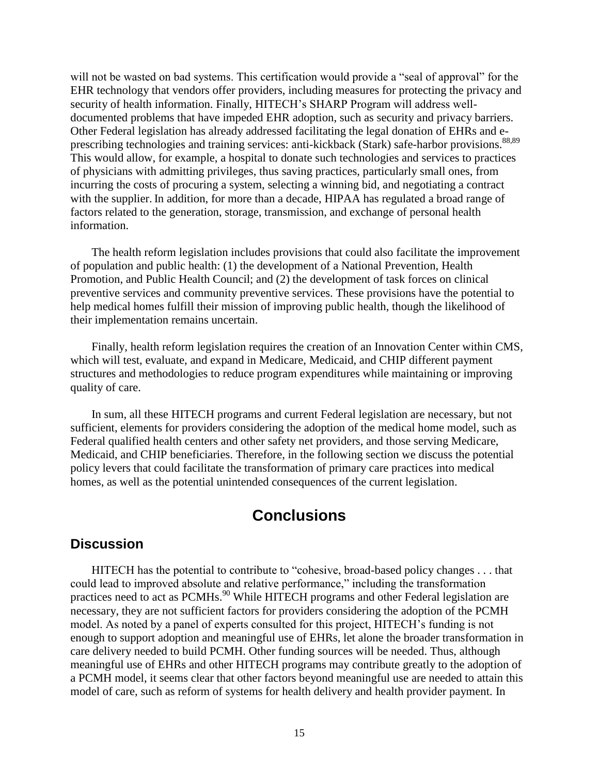will not be wasted on bad systems. This certification would provide a "seal of approval" for the EHR technology that vendors offer providers, including measures for protecting the privacy and security of health information. Finally, HITECH's SHARP Program will address welldocumented problems that have impeded EHR adoption, such as security and privacy barriers. Other Federal legislation has already addressed facilitating the legal donation of EHRs and eprescribing technologies and training services: anti-kickback (Stark) safe-harbor provisions.<sup>88,89</sup> This would allow, for example, a hospital to donate such technologies and services to practices of physicians with admitting privileges, thus saving practices, particularly small ones, from incurring the costs of procuring a system, selecting a winning bid, and negotiating a contract with the supplier. In addition, for more than a decade, HIPAA has regulated a broad range of factors related to the generation, storage, transmission, and exchange of personal health information.

The health reform legislation includes provisions that could also facilitate the improvement of population and public health: (1) the development of a National Prevention, Health Promotion, and Public Health Council; and (2) the development of task forces on clinical preventive services and community preventive services. These provisions have the potential to help medical homes fulfill their mission of improving public health, though the likelihood of their implementation remains uncertain.

Finally, health reform legislation requires the creation of an Innovation Center within CMS, which will test, evaluate, and expand in Medicare, Medicaid, and CHIP different payment structures and methodologies to reduce program expenditures while maintaining or improving quality of care.

In sum, all these HITECH programs and current Federal legislation are necessary, but not sufficient, elements for providers considering the adoption of the medical home model, such as Federal qualified health centers and other safety net providers, and those serving Medicare, Medicaid, and CHIP beneficiaries. Therefore, in the following section we discuss the potential policy levers that could facilitate the transformation of primary care practices into medical homes, as well as the potential unintended consequences of the current legislation.

## **Conclusions**

## **Discussion**

HITECH has the potential to contribute to "cohesive, broad-based policy changes . . . that could lead to improved absolute and relative performance," including the transformation practices need to act as PCMHs.<sup>90</sup> While HITECH programs and other Federal legislation are necessary, they are not sufficient factors for providers considering the adoption of the PCMH model. As noted by a panel of experts consulted for this project, HITECH's funding is not enough to support adoption and meaningful use of EHRs, let alone the broader transformation in care delivery needed to build PCMH. Other funding sources will be needed. Thus, although meaningful use of EHRs and other HITECH programs may contribute greatly to the adoption of a PCMH model, it seems clear that other factors beyond meaningful use are needed to attain this model of care, such as reform of systems for health delivery and health provider payment. In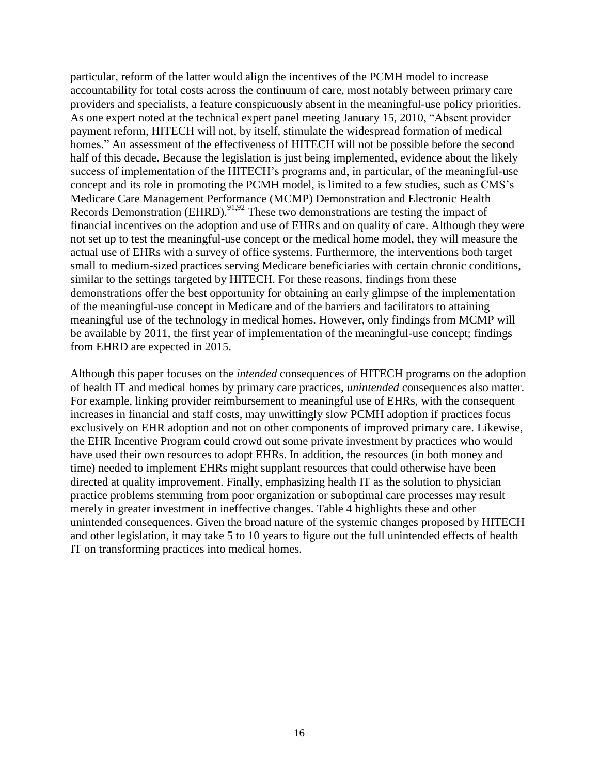particular, reform of the latter would align the incentives of the PCMH model to increase accountability for total costs across the continuum of care, most notably between primary care providers and specialists, a feature conspicuously absent in the meaningful-use policy priorities. As one expert noted at the technical expert panel meeting January 15, 2010, "Absent provider payment reform, HITECH will not, by itself, stimulate the widespread formation of medical homes." An assessment of the effectiveness of HITECH will not be possible before the second half of this decade. Because the legislation is just being implemented, evidence about the likely success of implementation of the HITECH's programs and, in particular, of the meaningful-use concept and its role in promoting the PCMH model, is limited to a few studies, such as CMS's Medicare Care Management Performance (MCMP) Demonstration and Electronic Health Records Demonstration (EHRD).<sup>91,92</sup> These two demonstrations are testing the impact of financial incentives on the adoption and use of EHRs and on quality of care. Although they were not set up to test the meaningful-use concept or the medical home model, they will measure the actual use of EHRs with a survey of office systems. Furthermore, the interventions both target small to medium-sized practices serving Medicare beneficiaries with certain chronic conditions, similar to the settings targeted by HITECH. For these reasons, findings from these demonstrations offer the best opportunity for obtaining an early glimpse of the implementation of the meaningful-use concept in Medicare and of the barriers and facilitators to attaining meaningful use of the technology in medical homes. However, only findings from MCMP will be available by 2011, the first year of implementation of the meaningful-use concept; findings from EHRD are expected in 2015.

Although this paper focuses on the *intended* consequences of HITECH programs on the adoption of health IT and medical homes by primary care practices, *unintended* consequences also matter. For example, linking provider reimbursement to meaningful use of EHRs, with the consequent increases in financial and staff costs, may unwittingly slow PCMH adoption if practices focus exclusively on EHR adoption and not on other components of improved primary care. Likewise, the EHR Incentive Program could crowd out some private investment by practices who would have used their own resources to adopt EHRs. In addition, the resources (in both money and time) needed to implement EHRs might supplant resources that could otherwise have been directed at quality improvement. Finally, emphasizing health IT as the solution to physician practice problems stemming from poor organization or suboptimal care processes may result merely in greater investment in ineffective changes. Table 4 highlights these and other unintended consequences. Given the broad nature of the systemic changes proposed by HITECH and other legislation, it may take 5 to 10 years to figure out the full unintended effects of health IT on transforming practices into medical homes.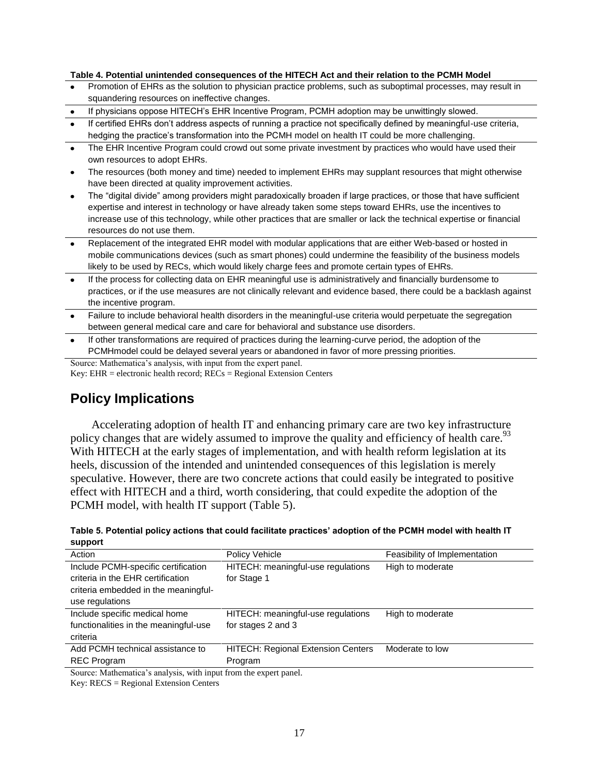#### **Table 4. Potential unintended consequences of the HITECH Act and their relation to the PCMH Model**

- Promotion of EHRs as the solution to physician practice problems, such as suboptimal processes, may result in squandering resources on ineffective changes.
- If physicians oppose HITECH's EHR Incentive Program, PCMH adoption may be unwittingly slowed.
- If certified EHRs don't address aspects of running a practice not specifically defined by meaningful-use criteria, hedging the practice's transformation into the PCMH model on health IT could be more challenging.
- The EHR Incentive Program could crowd out some private investment by practices who would have used their own resources to adopt EHRs.
- The resources (both money and time) needed to implement EHRs may supplant resources that might otherwise have been directed at quality improvement activities.
- The "digital divide" among providers might paradoxically broaden if large practices, or those that have sufficient expertise and interest in technology or have already taken some steps toward EHRs, use the incentives to increase use of this technology, while other practices that are smaller or lack the technical expertise or financial resources do not use them.
- Replacement of the integrated EHR model with modular applications that are either Web-based or hosted in mobile communications devices (such as smart phones) could undermine the feasibility of the business models likely to be used by RECs, which would likely charge fees and promote certain types of EHRs.
- If the process for collecting data on EHR meaningful use is administratively and financially burdensome to practices, or if the use measures are not clinically relevant and evidence based, there could be a backlash against the incentive program.
- Failure to include behavioral health disorders in the meaningful-use criteria would perpetuate the segregation between general medical care and care for behavioral and substance use disorders.
- If other transformations are required of practices during the learning-curve period, the adoption of the PCMHmodel could be delayed several years or abandoned in favor of more pressing priorities.

Source: Mathematica's analysis, with input from the expert panel.

Key: EHR = electronic health record;  $RECs = Regional Extension Centers$ 

## **Policy Implications**

Accelerating adoption of health IT and enhancing primary care are two key infrastructure policy changes that are widely assumed to improve the quality and efficiency of health care.<sup>93</sup> With HITECH at the early stages of implementation, and with health reform legislation at its heels, discussion of the intended and unintended consequences of this legislation is merely speculative. However, there are two concrete actions that could easily be integrated to positive effect with HITECH and a third, worth considering, that could expedite the adoption of the PCMH model, with health IT support (Table 5).

| Table 5. Potential policy actions that could facilitate practices' adoption of the PCMH model with health IT |  |
|--------------------------------------------------------------------------------------------------------------|--|
| support                                                                                                      |  |

| Action                                                            | Policy Vehicle                            | Feasibility of Implementation |  |
|-------------------------------------------------------------------|-------------------------------------------|-------------------------------|--|
| Include PCMH-specific certification                               | HITECH: meaningful-use regulations        | High to moderate              |  |
| criteria in the EHR certification                                 | for Stage 1                               |                               |  |
| criteria embedded in the meaningful-                              |                                           |                               |  |
| use regulations                                                   |                                           |                               |  |
| Include specific medical home                                     | HITECH: meaningful-use regulations        | High to moderate              |  |
| functionalities in the meaningful-use                             | for stages 2 and 3                        |                               |  |
| criteria                                                          |                                           |                               |  |
| Add PCMH technical assistance to                                  | <b>HITECH: Regional Extension Centers</b> | Moderate to low               |  |
| <b>REC Program</b>                                                | Program                                   |                               |  |
| Source: Mathematica's analysis, with input from the expert panel. |                                           |                               |  |

Key: RECS = Regional Extension Centers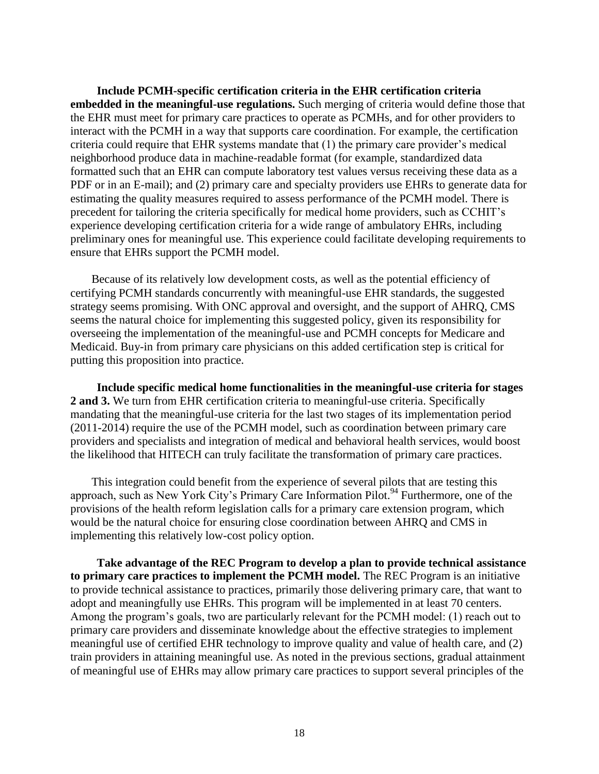**Include PCMH-specific certification criteria in the EHR certification criteria embedded in the meaningful-use regulations.** Such merging of criteria would define those that the EHR must meet for primary care practices to operate as PCMHs, and for other providers to interact with the PCMH in a way that supports care coordination. For example, the certification criteria could require that EHR systems mandate that (1) the primary care provider's medical neighborhood produce data in machine-readable format (for example, standardized data formatted such that an EHR can compute laboratory test values versus receiving these data as a PDF or in an E-mail); and (2) primary care and specialty providers use EHRs to generate data for estimating the quality measures required to assess performance of the PCMH model. There is precedent for tailoring the criteria specifically for medical home providers, such as CCHIT's experience developing certification criteria for a wide range of ambulatory EHRs, including preliminary ones for meaningful use. This experience could facilitate developing requirements to ensure that EHRs support the PCMH model.

Because of its relatively low development costs, as well as the potential efficiency of certifying PCMH standards concurrently with meaningful-use EHR standards, the suggested strategy seems promising. With ONC approval and oversight, and the support of AHRQ, CMS seems the natural choice for implementing this suggested policy, given its responsibility for overseeing the implementation of the meaningful-use and PCMH concepts for Medicare and Medicaid. Buy-in from primary care physicians on this added certification step is critical for putting this proposition into practice.

**Include specific medical home functionalities in the meaningful-use criteria for stages 2 and 3.** We turn from EHR certification criteria to meaningful-use criteria. Specifically mandating that the meaningful-use criteria for the last two stages of its implementation period (2011-2014) require the use of the PCMH model, such as coordination between primary care providers and specialists and integration of medical and behavioral health services, would boost the likelihood that HITECH can truly facilitate the transformation of primary care practices.

This integration could benefit from the experience of several pilots that are testing this approach, such as New York City's Primary Care Information Pilot.<sup>94</sup> Furthermore, one of the provisions of the health reform legislation calls for a primary care extension program, which would be the natural choice for ensuring close coordination between AHRQ and CMS in implementing this relatively low-cost policy option.

**Take advantage of the REC Program to develop a plan to provide technical assistance to primary care practices to implement the PCMH model.** The REC Program is an initiative to provide technical assistance to practices, primarily those delivering primary care, that want to adopt and meaningfully use EHRs. This program will be implemented in at least 70 centers. Among the program's goals, two are particularly relevant for the PCMH model: (1) reach out to primary care providers and disseminate knowledge about the effective strategies to implement meaningful use of certified EHR technology to improve quality and value of health care, and (2) train providers in attaining meaningful use. As noted in the previous sections, gradual attainment of meaningful use of EHRs may allow primary care practices to support several principles of the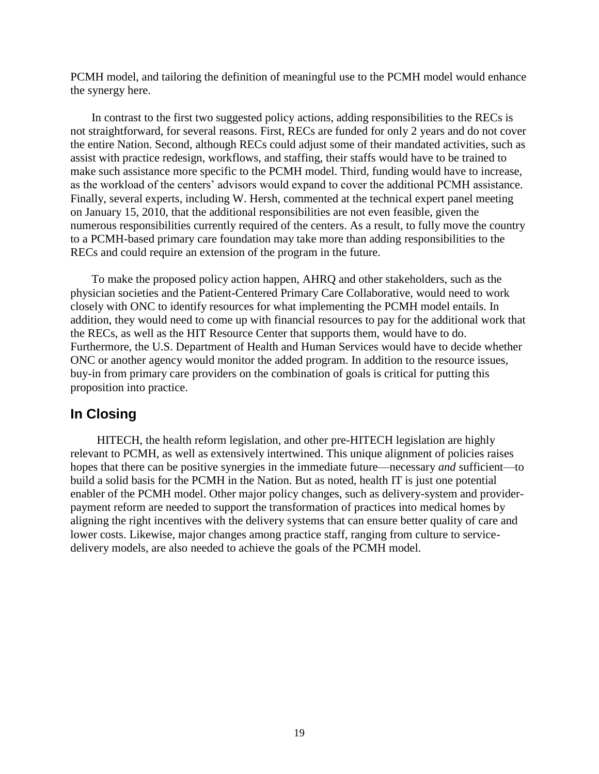PCMH model, and tailoring the definition of meaningful use to the PCMH model would enhance the synergy here.

In contrast to the first two suggested policy actions, adding responsibilities to the RECs is not straightforward, for several reasons. First, RECs are funded for only 2 years and do not cover the entire Nation. Second, although RECs could adjust some of their mandated activities, such as assist with practice redesign, workflows, and staffing, their staffs would have to be trained to make such assistance more specific to the PCMH model. Third, funding would have to increase, as the workload of the centers' advisors would expand to cover the additional PCMH assistance. Finally, several experts, including W. Hersh, commented at the technical expert panel meeting on January 15, 2010, that the additional responsibilities are not even feasible, given the numerous responsibilities currently required of the centers. As a result, to fully move the country to a PCMH-based primary care foundation may take more than adding responsibilities to the RECs and could require an extension of the program in the future.

To make the proposed policy action happen, AHRQ and other stakeholders, such as the physician societies and the Patient-Centered Primary Care Collaborative, would need to work closely with ONC to identify resources for what implementing the PCMH model entails. In addition, they would need to come up with financial resources to pay for the additional work that the RECs, as well as the HIT Resource Center that supports them, would have to do. Furthermore, the U.S. Department of Health and Human Services would have to decide whether ONC or another agency would monitor the added program. In addition to the resource issues, buy-in from primary care providers on the combination of goals is critical for putting this proposition into practice.

#### **In Closing**

HITECH, the health reform legislation, and other pre-HITECH legislation are highly relevant to PCMH, as well as extensively intertwined. This unique alignment of policies raises hopes that there can be positive synergies in the immediate future—necessary *and* sufficient—to build a solid basis for the PCMH in the Nation. But as noted, health IT is just one potential enabler of the PCMH model. Other major policy changes, such as delivery-system and providerpayment reform are needed to support the transformation of practices into medical homes by aligning the right incentives with the delivery systems that can ensure better quality of care and lower costs. Likewise, major changes among practice staff, ranging from culture to servicedelivery models, are also needed to achieve the goals of the PCMH model.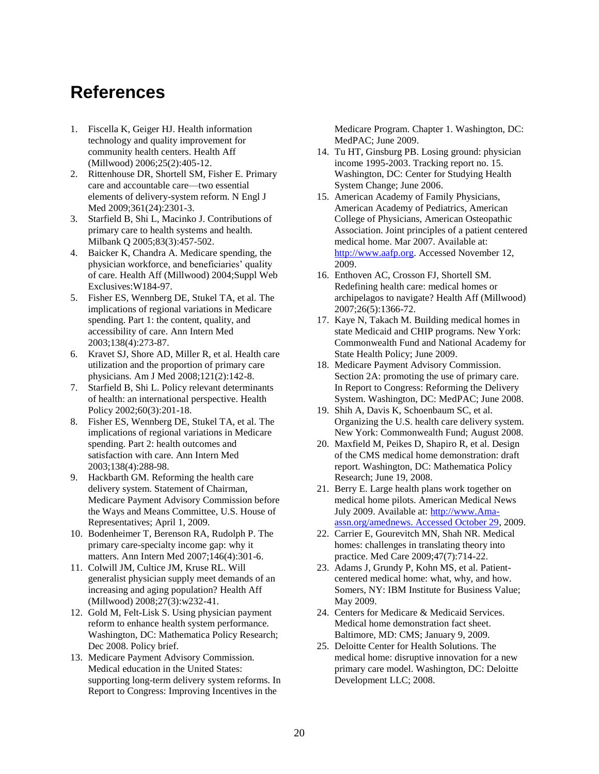# **References**

- 1. Fiscella K, Geiger HJ. Health information technology and quality improvement for community health centers. Health Aff (Millwood) 2006;25(2):405-12.
- 2. Rittenhouse DR, Shortell SM, Fisher E. Primary care and accountable care—two essential elements of delivery-system reform. N Engl J Med 2009;361(24):2301-3.
- 3. Starfield B, Shi L, Macinko J. Contributions of primary care to health systems and health. Milbank Q 2005;83(3):457-502.
- 4. Baicker K, Chandra A. Medicare spending, the physician workforce, and beneficiaries' quality of care. Health Aff (Millwood) 2004;Suppl Web Exclusives:W184-97.
- 5. Fisher ES, Wennberg DE, Stukel TA, et al. The implications of regional variations in Medicare spending. Part 1: the content, quality, and accessibility of care. Ann Intern Med 2003;138(4):273-87.
- 6. Kravet SJ, Shore AD, Miller R, et al. Health care utilization and the proportion of primary care physicians. Am J Med 2008;121(2):142-8.
- 7. Starfield B, Shi L. Policy relevant determinants of health: an international perspective. Health Policy 2002;60(3):201-18.
- 8. Fisher ES, Wennberg DE, Stukel TA, et al. The implications of regional variations in Medicare spending. Part 2: health outcomes and satisfaction with care. Ann Intern Med 2003;138(4):288-98.
- 9. Hackbarth GM. Reforming the health care delivery system. Statement of Chairman, Medicare Payment Advisory Commission before the Ways and Means Committee, U.S. House of Representatives; April 1, 2009.
- 10. Bodenheimer T, Berenson RA, Rudolph P. The primary care-specialty income gap: why it matters. Ann Intern Med 2007;146(4):301-6.
- 11. Colwill JM, Cultice JM, Kruse RL. Will generalist physician supply meet demands of an increasing and aging population? Health Aff (Millwood) 2008;27(3):w232-41.
- 12. Gold M, Felt-Lisk S. Using physician payment reform to enhance health system performance. Washington, DC: Mathematica Policy Research; Dec 2008. Policy brief.
- 13. Medicare Payment Advisory Commission. Medical education in the United States: supporting long-term delivery system reforms. In Report to Congress: Improving Incentives in the

Medicare Program. Chapter 1. Washington, DC: MedPAC; June 2009.

- 14. Tu HT, Ginsburg PB. Losing ground: physician income 1995-2003. Tracking report no. 15. Washington, DC: Center for Studying Health System Change; June 2006.
- 15. American Academy of Family Physicians, American Academy of Pediatrics, American College of Physicians, American Osteopathic Association. Joint principles of a patient centered medical home. Mar 2007. Available at: [http://www.aafp.org.](http://www.aafp.org/) Accessed November 12, 2009.
- 16. Enthoven AC, Crosson FJ, Shortell SM. Redefining health care: medical homes or archipelagos to navigate? Health Aff (Millwood) 2007;26(5):1366-72.
- 17. Kaye N, Takach M. Building medical homes in state Medicaid and CHIP programs. New York: Commonwealth Fund and National Academy for State Health Policy; June 2009.
- 18. Medicare Payment Advisory Commission. Section 2A: promoting the use of primary care. In Report to Congress: Reforming the Delivery System. Washington, DC: MedPAC; June 2008.
- 19. Shih A, Davis K, Schoenbaum SC, et al. Organizing the U.S. health care delivery system. New York: Commonwealth Fund; August 2008.
- 20. Maxfield M, Peikes D, Shapiro R, et al. Design of the CMS medical home demonstration: draft report. Washington, DC: Mathematica Policy Research; June 19, 2008.
- 21. Berry E. Large health plans work together on medical home pilots. American Medical News July 2009. Available at: [http://www.Ama](http://www.ama-assn.org/amednews.%20Accessed%20October%2029)[assn.org/amednews. Accessed October 29,](http://www.ama-assn.org/amednews.%20Accessed%20October%2029) 2009.
- 22. Carrier E, Gourevitch MN, Shah NR. Medical homes: challenges in translating theory into practice. Med Care 2009;47(7):714-22.
- 23. Adams J, Grundy P, Kohn MS, et al. Patientcentered medical home: what, why, and how. Somers, NY: IBM Institute for Business Value; May 2009.
- 24. Centers for Medicare & Medicaid Services. Medical home demonstration fact sheet. Baltimore, MD: CMS; January 9, 2009.
- 25. Deloitte Center for Health Solutions. The medical home: disruptive innovation for a new primary care model. Washington, DC: Deloitte Development LLC; 2008.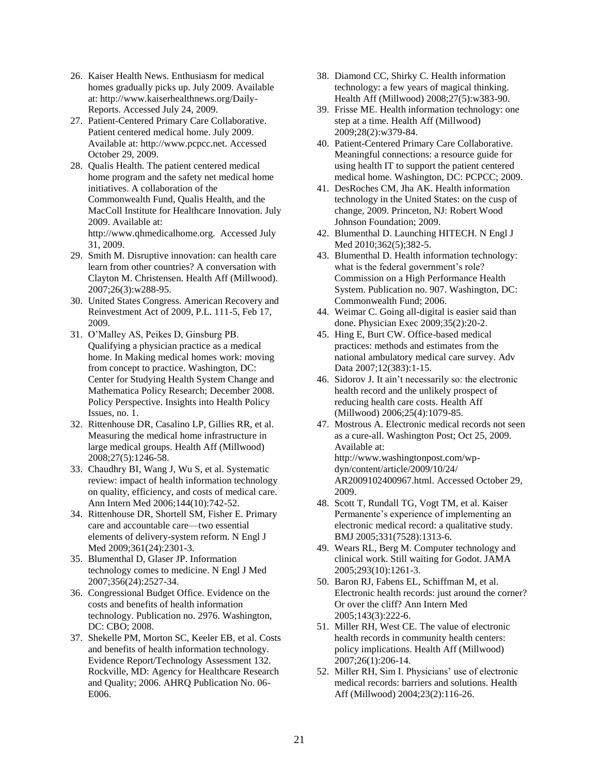- 26. Kaiser Health News. Enthusiasm for medical homes gradually picks up. July 2009. Available at: http://www.kaiserhealthnews.org/Daily-Reports. Accessed July 24, 2009.
- 27. Patient-Centered Primary Care Collaborative. Patient centered medical home. July 2009. Available at: http://www.pcpcc.net. Accessed October 29, 2009.
- 28. Qualis Health. The patient centered medical home program and the safety net medical home initiatives. A collaboration of the Commonwealth Fund, Qualis Health, and the MacColl Institute for Healthcare Innovation. July 2009. Available at: http://www.qhmedicalhome.org. Accessed July 31, 2009.
- 29. Smith M. Disruptive innovation: can health care learn from other countries? A conversation with Clayton M. Christensen. Health Aff (Millwood). 2007;26(3):w288-95.
- 30. United States Congress. American Recovery and Reinvestment Act of 2009, P.L. 111-5, Feb 17, 2009.
- 31. O'Malley AS, Peikes D, Ginsburg PB. Qualifying a physician practice as a medical home. In Making medical homes work: moving from concept to practice. Washington, DC: Center for Studying Health System Change and Mathematica Policy Research; December 2008. Policy Perspective. Insights into Health Policy Issues, no. 1.
- 32. Rittenhouse DR, Casalino LP, Gillies RR, et al. Measuring the medical home infrastructure in large medical groups. Health Aff (Millwood) 2008;27(5):1246-58.
- 33. Chaudhry BI, Wang J, Wu S, et al. Systematic review: impact of health information technology on quality, efficiency, and costs of medical care. Ann Intern Med 2006;144(10):742-52.
- 34. Rittenhouse DR, Shortell SM, Fisher E. Primary care and accountable care—two essential elements of delivery-system reform. N Engl J Med 2009;361(24):2301-3.
- 35. Blumenthal D, Glaser JP. Information technology comes to medicine. N Engl J Med 2007;356(24):2527-34.
- 36. Congressional Budget Office. Evidence on the costs and benefits of health information technology. Publication no. 2976. Washington, DC: CBO; 2008.
- 37. Shekelle PM, Morton SC, Keeler EB, et al. Costs and benefits of health information technology. Evidence Report/Technology Assessment 132. Rockville, MD: Agency for Healthcare Research and Quality; 2006. AHRQ Publication No. 06- E006.
- 38. Diamond CC, Shirky C. Health information technology: a few years of magical thinking. Health Aff (Millwood) 2008;27(5):w383-90.
- 39. Frisse ME. Health information technology: one step at a time. Health Aff (Millwood) 2009;28(2):w379-84.
- 40. Patient-Centered Primary Care Collaborative. Meaningful connections: a resource guide for using health IT to support the patient centered medical home. Washington, DC: PCPCC; 2009.
- 41. DesRoches CM, Jha AK. Health information technology in the United States: on the cusp of change, 2009. Princeton, NJ: Robert Wood Johnson Foundation; 2009.
- 42. Blumenthal D. Launching HITECH. N Engl J Med 2010;362(5);382-5.
- 43. Blumenthal D. Health information technology: what is the federal government's role? Commission on a High Performance Health System. Publication no. 907. Washington, DC: Commonwealth Fund; 2006.
- 44. Weimar C. Going all-digital is easier said than done. Physician Exec 2009;35(2):20-2.
- 45. Hing E, Burt CW. Office-based medical practices: methods and estimates from the national ambulatory medical care survey. Adv Data 2007;12(383):1-15.
- 46. Sidorov J. It ain't necessarily so: the electronic health record and the unlikely prospect of reducing health care costs. Health Aff (Millwood) 2006;25(4):1079-85.
- 47. Mostrous A. Electronic medical records not seen as a cure-all. Washington Post; Oct 25, 2009. Available at: http://www.washingtonpost.com/wpdyn/content/article/2009/10/24/ AR2009102400967.html. Accessed October 29, 2009.
- 48. Scott T, Rundall TG, Vogt TM, et al. Kaiser Permanente's experience of implementing an electronic medical record: a qualitative study. BMJ 2005;331(7528):1313-6.
- 49. Wears RL, Berg M. Computer technology and clinical work. Still waiting for Godot. JAMA 2005;293(10):1261-3.
- 50. Baron RJ, Fabens EL, Schiffman M, et al. Electronic health records: just around the corner? Or over the cliff? Ann Intern Med 2005;143(3):222-6.
- 51. Miller RH, West CE. The value of electronic health records in community health centers: policy implications. Health Aff (Millwood) 2007;26(1):206-14.
- 52. Miller RH, Sim I. Physicians' use of electronic medical records: barriers and solutions. Health Aff (Millwood) 2004;23(2):116-26.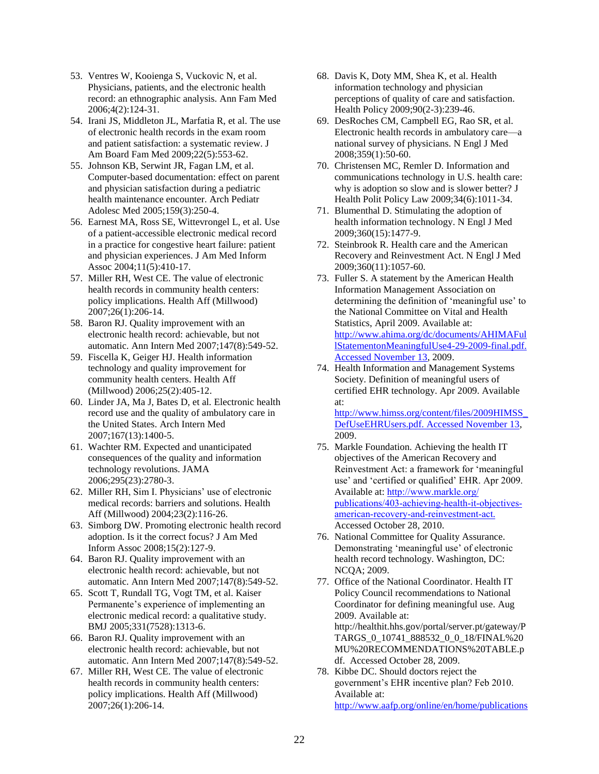- 53. Ventres W, Kooienga S, Vuckovic N, et al. Physicians, patients, and the electronic health record: an ethnographic analysis. Ann Fam Med 2006;4(2):124-31.
- 54. Irani JS, Middleton JL, Marfatia R, et al. The use of electronic health records in the exam room and patient satisfaction: a systematic review. J Am Board Fam Med 2009;22(5):553-62.
- 55. Johnson KB, Serwint JR, Fagan LM, et al. Computer-based documentation: effect on parent and physician satisfaction during a pediatric health maintenance encounter. Arch Pediatr Adolesc Med 2005;159(3):250-4.
- 56. Earnest MA, Ross SE, Wittevrongel L, et al. Use of a patient-accessible electronic medical record in a practice for congestive heart failure: patient and physician experiences. J Am Med Inform Assoc 2004;11(5):410-17.
- 57. Miller RH, West CE. The value of electronic health records in community health centers: policy implications. Health Aff (Millwood) 2007;26(1):206-14.
- 58. Baron RJ. Quality improvement with an electronic health record: achievable, but not automatic. Ann Intern Med 2007;147(8):549-52.
- 59. Fiscella K, Geiger HJ. Health information technology and quality improvement for community health centers. Health Aff (Millwood) 2006;25(2):405-12.
- 60. Linder JA, Ma J, Bates D, et al. Electronic health record use and the quality of ambulatory care in the United States. Arch Intern Med 2007;167(13):1400-5.
- 61. Wachter RM. Expected and unanticipated consequences of the quality and information technology revolutions. JAMA 2006;295(23):2780-3.
- 62. Miller RH, Sim I. Physicians' use of electronic medical records: barriers and solutions. Health Aff (Millwood) 2004;23(2):116-26.
- 63. Simborg DW. Promoting electronic health record adoption. Is it the correct focus? J Am Med Inform Assoc 2008;15(2):127-9.
- 64. Baron RJ. Quality improvement with an electronic health record: achievable, but not automatic. Ann Intern Med 2007;147(8):549-52.
- 65. Scott T, Rundall TG, Vogt TM, et al. Kaiser Permanente's experience of implementing an electronic medical record: a qualitative study. BMJ 2005;331(7528):1313-6.
- 66. Baron RJ. Quality improvement with an electronic health record: achievable, but not automatic. Ann Intern Med 2007;147(8):549-52.
- 67. Miller RH, West CE. The value of electronic health records in community health centers: policy implications. Health Aff (Millwood) 2007;26(1):206-14.
- 68. Davis K, Doty MM, Shea K, et al. Health information technology and physician perceptions of quality of care and satisfaction. Health Policy 2009;90(2-3):239-46.
- 69. DesRoches CM, Campbell EG, Rao SR, et al. Electronic health records in ambulatory care—a national survey of physicians. N Engl J Med 2008;359(1):50-60.
- 70. Christensen MC, Remler D. Information and communications technology in U.S. health care: why is adoption so slow and is slower better? J Health Polit Policy Law 2009;34(6):1011-34.
- 71. Blumenthal D. Stimulating the adoption of health information technology. N Engl J Med 2009;360(15):1477-9.
- 72. Steinbrook R. Health care and the American Recovery and Reinvestment Act. N Engl J Med 2009;360(11):1057-60.
- 73. Fuller S. A statement by the American Health Information Management Association on determining the definition of 'meaningful use' to the National Committee on Vital and Health Statistics, April 2009. Available at: [http://www.ahima.org/dc/documents/AHIMAFul](http://www.ahima.org/dc/documents/AHIMAFullStatementonMeaningfulUse4-29-2009-final.pdf.%20Accessed%20November%2013) [lStatementonMeaningfulUse4-29-2009-final.pdf.](http://www.ahima.org/dc/documents/AHIMAFullStatementonMeaningfulUse4-29-2009-final.pdf.%20Accessed%20November%2013) [Accessed November 13,](http://www.ahima.org/dc/documents/AHIMAFullStatementonMeaningfulUse4-29-2009-final.pdf.%20Accessed%20November%2013) 2009.
- 74. Health Information and Management Systems Society. Definition of meaningful users of certified EHR technology. Apr 2009. Available at:

[http://www.himss.org/content/files/2009HIMSS\\_](http://www.himss.org/content/files/2009HIMSS_DefUseEHRUsers.pdf.%20Accessed%20November%2013) [DefUseEHRUsers.pdf. Accessed November 13,](http://www.himss.org/content/files/2009HIMSS_DefUseEHRUsers.pdf.%20Accessed%20November%2013) 2009.

- 75. Markle Foundation. Achieving the health IT objectives of the American Recovery and Reinvestment Act: a framework for 'meaningful use' and 'certified or qualified' EHR. Apr 2009. Available at: [http://www.markle.org/](http://www.markle.org/publications/403-achieving-health-it-objectives-american-recovery-and-reinvestment-act) [publications/403-achieving-health-it-objectives](http://www.markle.org/publications/403-achieving-health-it-objectives-american-recovery-and-reinvestment-act)[american-recovery-and-reinvestment-act](http://www.markle.org/publications/403-achieving-health-it-objectives-american-recovery-and-reinvestment-act). Accessed October 28, 2010.
- 76. National Committee for Quality Assurance. Demonstrating 'meaningful use' of electronic health record technology. Washington, DC: NCQA; 2009.
- 77. Office of the National Coordinator. Health IT Policy Council recommendations to National Coordinator for defining meaningful use. Aug 2009. Available at: http://healthit.hhs.gov/portal/server.pt/gateway/P TARGS\_0\_10741\_888532\_0\_0\_18/FINAL%20 MU%20RECOMMENDATIONS%20TABLE.p df. Accessed October 28, 2009.
- 78. Kibbe DC. Should doctors reject the government's EHR incentive plan? Feb 2010. Available at: [http://www.aafp.org/online/en/home/publications](http://www.aafp.org/online/en/home/publications/journals/fpm/preprint/ehrincentive.html.%20Accessed%20February%2012)